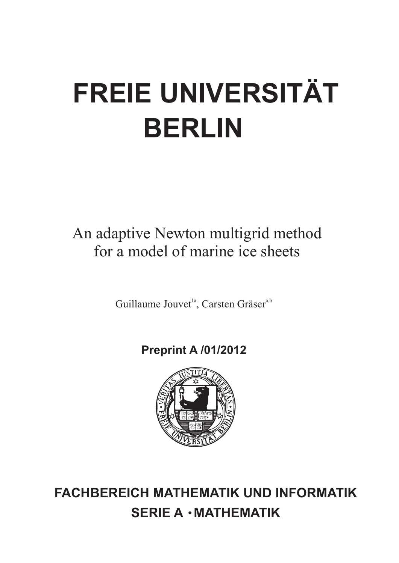# **FREIE UNIVERSITÄT BERLIN**

## An adaptive Newton multigrid method for a model of marine ice sheets

Guillaume Jouvet<sup>1a</sup>, Carsten Gräser<sup>a,b</sup>

## **Preprint A /01/2012**



**FACHBEREICH MATHEMATIK UND INFORMATIK SERIE A · MATHEMATIK**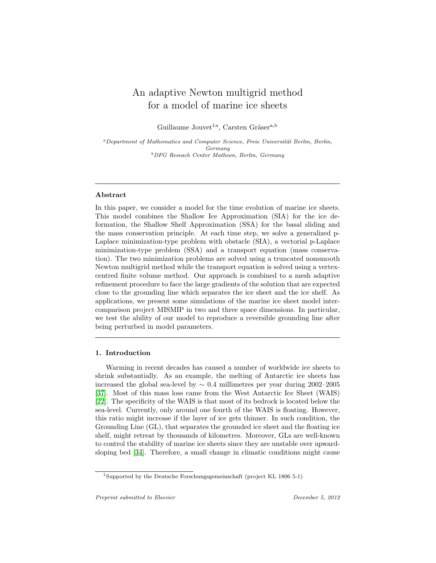### An adaptive Newton multigrid method for a model of marine ice sheets

Guillaume Jouvet<sup>1a</sup>, Carsten Gräser<sup>a,b</sup>

<sup>a</sup>Department of Mathematics and Computer Science, Freie Universität Berlin, Berlin, Germany <sup>b</sup>DFG Reseach Center Matheon, Berlin, Germany

#### Abstract

In this paper, we consider a model for the time evolution of marine ice sheets. This model combines the Shallow Ice Approximation (SIA) for the ice deformation, the Shallow Shelf Approximation (SSA) for the basal sliding and the mass conservation principle. At each time step, we solve a generalized p-Laplace minimization-type problem with obstacle (SIA), a vectorial p-Laplace minimization-type problem (SSA) and a transport equation (mass conservation). The two minimization problems are solved using a truncated nonsmooth Newton multigrid method while the transport equation is solved using a vertexcentred finite volume method. Our approach is combined to a mesh adaptive refinement procedure to face the large gradients of the solution that are expected close to the grounding line which separates the ice sheet and the ice shelf. As applications, we present some simulations of the marine ice sheet model intercomparison project MISMIP in two and three space dimensions. In particular, we test the ability of our model to reproduce a reversible grounding line after being perturbed in model parameters.

#### 1. Introduction

Warming in recent decades has caused a number of worldwide ice sheets to shrink substantially. As an example, the melting of Antarctic ice sheets has increased the global sea-level by  $\sim 0.4$  millimetres per year during 2002–2005 [\[37\]](#page-29-0). Most of this mass loss came from the West Antarctic Ice Sheet (WAIS) [\[22\]](#page-27-0). The specificity of the WAIS is that most of its bedrock is located below the sea-level. Currently, only around one fourth of the WAIS is floating. However, this ratio might increase if the layer of ice gets thinner. In such condition, the Grounding Line (GL), that separates the grounded ice sheet and the floating ice shelf, might retreat by thousands of kilometres. Moreover, GLs are well-known to control the stability of marine ice sheets since they are unstable over upwardsloping bed [\[34\]](#page-28-0). Therefore, a small change in climatic conditions might cause

 $^{1}$  Supported by the Deutsche Forschungsgemeinschaft (project KL 1806 5-1)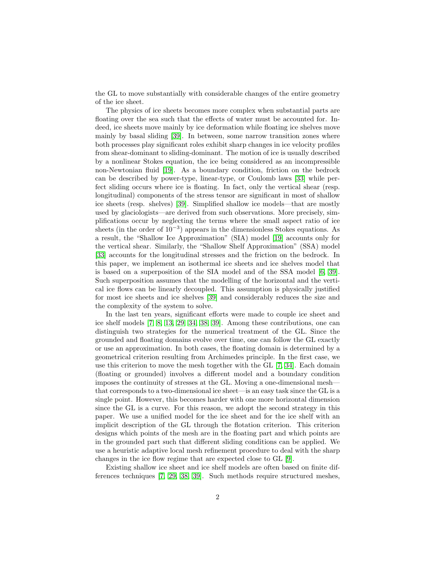the GL to move substantially with considerable changes of the entire geometry of the ice sheet.

The physics of ice sheets becomes more complex when substantial parts are floating over the sea such that the effects of water must be accounted for. Indeed, ice sheets move mainly by ice deformation while floating ice shelves move mainly by basal sliding [\[39\]](#page-29-1). In between, some narrow transition zones where both processes play significant roles exhibit sharp changes in ice velocity profiles from shear-dominant to sliding-dominant. The motion of ice is usually described by a nonlinear Stokes equation, the ice being considered as an incompressible non-Newtonian fluid [\[19\]](#page-27-1). As a boundary condition, friction on the bedrock can be described by power-type, linear-type, or Coulomb laws [\[33\]](#page-28-1) while perfect sliding occurs where ice is floating. In fact, only the vertical shear (resp. longitudinal) components of the stress tensor are significant in most of shallow ice sheets (resp. shelves) [\[39\]](#page-29-1). Simplified shallow ice models—that are mostly used by glaciologists—are derived from such observations. More precisely, simplifications occur by neglecting the terms where the small aspect ratio of ice sheets (in the order of 10<sup>-3</sup>) appears in the dimensionless Stokes equations. As a result, the "Shallow Ice Approximation" (SIA) model [\[19\]](#page-27-1) accounts only for the vertical shear. Similarly, the "Shallow Shelf Approximation" (SSA) model [\[33\]](#page-28-1) accounts for the longitudinal stresses and the friction on the bedrock. In this paper, we implement an isothermal ice sheets and ice shelves model that is based on a superposition of the SIA model and of the SSA model [\[6,](#page-26-0) [39\]](#page-29-1). Such superposition assumes that the modelling of the horizontal and the vertical ice flows can be linearly decoupled. This assumption is physically justified for most ice sheets and ice shelves [\[39\]](#page-29-1) and considerably reduces the size and the complexity of the system to solve.

In the last ten years, significant efforts were made to couple ice sheet and ice shelf models [\[7,](#page-26-1) [8,](#page-26-2) [13,](#page-27-2) [29,](#page-28-2) [34,](#page-28-0) [38,](#page-29-2) [39\]](#page-29-1). Among these contributions, one can distinguish two strategies for the numerical treatment of the GL. Since the grounded and floating domains evolve over time, one can follow the GL exactly or use an approximation. In both cases, the floating domain is determined by a geometrical criterion resulting from Archimedes principle. In the first case, we use this criterion to move the mesh together with the GL [\[7,](#page-26-1) [34\]](#page-28-0). Each domain (floating or grounded) involves a different model and a boundary condition imposes the continuity of stresses at the GL. Moving a one-dimensional mesh that corresponds to a two-dimensional ice sheet—is an easy task since the GL is a single point. However, this becomes harder with one more horizontal dimension since the GL is a curve. For this reason, we adopt the second strategy in this paper. We use a unified model for the ice sheet and for the ice shelf with an implicit description of the GL through the flotation criterion. This criterion designs which points of the mesh are in the floating part and which points are in the grounded part such that different sliding conditions can be applied. We use a heuristic adaptive local mesh refinement procedure to deal with the sharp changes in the ice flow regime that are expected close to GL [\[9\]](#page-27-3).

Existing shallow ice sheet and ice shelf models are often based on finite differences techniques [\[7,](#page-26-1) [29,](#page-28-2) [38,](#page-29-2) [39\]](#page-29-1). Such methods require structured meshes,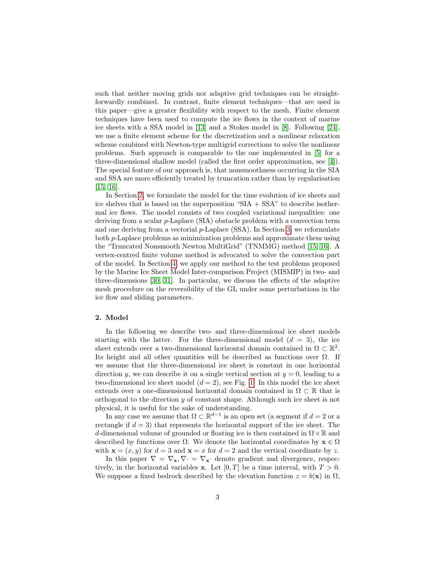such that neither moving grids nor adaptive grid techniques can be straightforwardly combined. In contrast, finite element techniques—that are used in this paper—give a greater flexibility with respect to the mesh. Finite element techniques have been used to compute the ice flows in the context of marine ice sheets with a SSA model in [\[13\]](#page-27-2) and a Stokes model in [\[8\]](#page-26-2). Following [\[24\]](#page-28-3), we use a finite element scheme for the discretization and a nonlinear relaxation scheme combined with Newton-type multigrid corrections to solve the nonlinear problems. Such approach is comparable to the one implemented in [\[5\]](#page-26-3) for a three-dimensional shallow model (called the first order approximation, see [\[4\]](#page-26-4)). The special feature of our approach is, that nonsmoothness occurring in the SIA and SSA are more efficiently treated by truncation rather than by regularisation [\[15,](#page-27-4) [16\]](#page-27-5).

In Section [2,](#page-3-0) we formulate the model for the time evolution of ice sheets and ice shelves that is based on the superposition " $SIA + SSA$ " to describe isothermal ice flows. The model consists of two coupled variational inequalities: one deriving from a scalar p-Laplace (SIA) obstacle problem with a convection term and one deriving from a vectorial  $p$ -Laplace (SSA). In Section [3,](#page-8-0) we reformulate both p-Laplace problems as minimization problems and approximate them using the "Truncated Nonsmooth Newton MultiGrid" (TNMMG) method [\[15,](#page-27-4) [16\]](#page-27-5). A vertex-centred finite volume method is advocated to solve the convection part of the model. In Section [4,](#page-15-0) we apply our method to the test problems proposed by the Marine Ice Sheet Model Inter-comparison Project (MISMIP) in two- and three-dimensions [\[30,](#page-28-4) [31\]](#page-28-5). In particular, we discuss the effects of the adaptive mesh procedure on the reversibility of the GL under some perturbations in the ice flow and sliding parameters.

#### <span id="page-3-0"></span>2. Model

In the following we describe two- and three-dimensional ice sheet models starting with the latter. For the three-dimensional model  $(d = 3)$ , the ice sheet extends over a two-dimensional horizontal domain contained in  $\Omega \subset \mathbb{R}^2$ . Its height and all other quantities will be described as functions over  $\Omega$ . If we assume that the three-dimensional ice sheet is constant in one horizontal direction y, we can describe it on a single vertical section at  $y = 0$ , leading to a two-dimensional ice sheet model  $(d = 2)$ , see Fig. [1.](#page-4-0) In this model the ice sheet extends over a one-dimensional horizontal domain contained in  $\Omega \subset \mathbb{R}$  that is orthogonal to the direction y of constant shape. Although such ice sheet is not physical, it is useful for the sake of understanding.

In any case we assume that  $\Omega \subset \mathbb{R}^{d-1}$  is an open set (a segment if  $d = 2$  or a rectangle if  $d = 3$ ) that represents the horizontal support of the ice sheet. The d-dimensional volume of grounded or floating ice is then contained in  $\Omega \times \mathbb{R}$  and described by functions over  $\Omega$ . We denote the horizontal coordinates by  $\mathbf{x} \in \Omega$ with  $\mathbf{x} = (x, y)$  for  $d = 3$  and  $\mathbf{x} = x$  for  $d = 2$  and the vertical coordinate by z.

In this paper  $\nabla = \nabla_{\mathbf{x}}$ ,  $\nabla = \nabla_{\mathbf{x}}$  denote gradient and divergence, respectively, in the horizontal variables **x**. Let  $[0, T]$  be a time interval, with  $T > 0$ . We suppose a fixed bedrock described by the elevation function  $z = b(\mathbf{x})$  in  $\Omega$ ,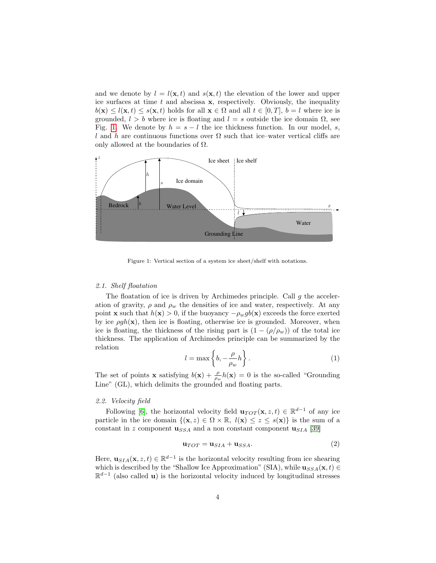and we denote by  $l = l(\mathbf{x}, t)$  and  $s(\mathbf{x}, t)$  the elevation of the lower and upper ice surfaces at time  $t$  and abscissa  $x$ , respectively. Obviously, the inequality  $b(\mathbf{x}) \leq l(\mathbf{x}, t) \leq s(\mathbf{x}, t)$  holds for all  $\mathbf{x} \in \Omega$  and all  $t \in [0, T]$ ,  $b = l$  where ice is grounded,  $l > b$  where ice is floating and  $l = s$  outside the ice domain  $\Omega$ , see Fig. [1.](#page-4-0) We denote by  $h = s - l$  the ice thickness function. In our model, s, l and h are continuous functions over  $\Omega$  such that ice–water vertical cliffs are only allowed at the boundaries of  $\Omega$ .



<span id="page-4-0"></span>Figure 1: Vertical section of a system ice sheet/shelf with notations.

#### 2.1. Shelf floatation

The floatation of ice is driven by Archimedes principle. Call  $g$  the acceleration of gravity,  $\rho$  and  $\rho_w$  the densities of ice and water, respectively. At any point **x** such that  $h(\mathbf{x}) > 0$ , if the buoyancy  $-\rho_wgb(\mathbf{x})$  exceeds the force exerted by ice  $\rho gh(\mathbf{x})$ , then ice is floating, otherwise ice is grounded. Moreover, when ice is floating, the thickness of the rising part is  $(1 - (\rho/\rho_w))$  of the total ice thickness. The application of Archimedes principle can be summarized by the relation

<span id="page-4-1"></span>
$$
l = \max\left\{b, -\frac{\rho}{\rho_w}h\right\}.
$$
 (1)

The set of points **x** satisfying  $b(\mathbf{x}) + \frac{\rho}{\rho_w}h(\mathbf{x}) = 0$  is the so-called "Grounding Line" (GL), which delimits the grounded and floating parts.

#### 2.2. Velocity field

Following [\[6\]](#page-26-0), the horizontal velocity field  $\mathbf{u}_{TOT}(\mathbf{x}, z, t) \in \mathbb{R}^{d-1}$  of any ice particle in the ice domain  $\{(\mathbf{x}, z) \in \Omega \times \mathbb{R}, l(\mathbf{x}) \leq z \leq s(\mathbf{x})\}$  is the sum of a constant in z component  $\mathbf{u}_{SSA}$  and a non constant component  $\mathbf{u}_{SIA}$  [\[39\]](#page-29-1)

<span id="page-4-2"></span>
$$
\mathbf{u}_{TOT} = \mathbf{u}_{SIA} + \mathbf{u}_{SSA}.\tag{2}
$$

Here,  $\mathbf{u}_{SIA}(\mathbf{x}, z, t) \in \mathbb{R}^{d-1}$  is the horizontal velocity resulting from ice shearing which is described by the "Shallow Ice Approximation" (SIA), while  $\mathbf{u}_{SSA}(\mathbf{x}, t) \in$  $\mathbb{R}^{d-1}$  (also called **u**) is the horizontal velocity induced by longitudinal stresses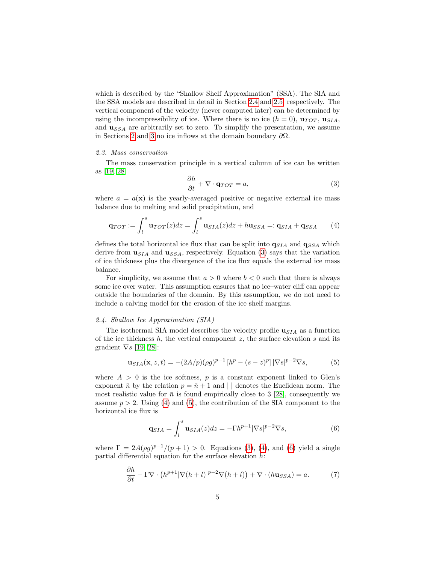which is described by the "Shallow Shelf Approximation" (SSA). The SIA and the SSA models are described in detail in Section [2.4](#page-5-0) and [2.5,](#page-6-0) respectively. The vertical component of the velocity (never computed later) can be determined by using the incompressibility of ice. Where there is no ice  $(h = 0)$ ,  $\mathbf{u}_{TOT}$ ,  $\mathbf{u}_{SIA}$ , and  $\mathbf{u}_{SSA}$  are arbitrarily set to zero. To simplify the presentation, we assume in Sections [2](#page-3-0) and [3](#page-8-0) no ice inflows at the domain boundary  $\partial\Omega$ .

#### 2.3. Mass conservation

The mass conservation principle in a vertical column of ice can be written as [\[19,](#page-27-1) [28\]](#page-28-6)

<span id="page-5-1"></span>
$$
\frac{\partial h}{\partial t} + \nabla \cdot \mathbf{q}_{TOT} = a,\tag{3}
$$

where  $a = a(\mathbf{x})$  is the yearly-averaged positive or negative external ice mass balance due to melting and solid precipitation, and

<span id="page-5-2"></span>
$$
\mathbf{q}_{TOT} := \int_l^s \mathbf{u}_{TOT}(z) dz = \int_l^s \mathbf{u}_{SIA}(z) dz + h \mathbf{u}_{SSA} =: \mathbf{q}_{SIA} + \mathbf{q}_{SSA}
$$
 (4)

defines the total horizontal ice flux that can be split into  $q_{SIA}$  and  $q_{SSA}$  which derive from  $\mathbf{u}_{SIA}$  and  $\mathbf{u}_{SSA}$ , respectively. Equation [\(3\)](#page-5-1) says that the variation of ice thickness plus the divergence of the ice flux equals the external ice mass balance.

For simplicity, we assume that  $a > 0$  where  $b < 0$  such that there is always some ice over water. This assumption ensures that no ice–water cliff can appear outside the boundaries of the domain. By this assumption, we do not need to include a calving model for the erosion of the ice shelf margins.

#### <span id="page-5-0"></span>2.4. Shallow Ice Approximation (SIA)

The isothermal SIA model describes the velocity profile  $\mathbf{u}_{SIA}$  as a function of the ice thickness  $h$ , the vertical component  $z$ , the surface elevation  $s$  and its gradient  $\nabla s$  [\[19,](#page-27-1) [28\]](#page-28-6):

<span id="page-5-3"></span>
$$
\mathbf{u}_{SIA}(\mathbf{x}, z, t) = -(2A/p)(\rho g)^{p-1} \left[ h^p - (s-z)^p \right] |\nabla s|^{p-2} \nabla s,
$$
 (5)

where  $A > 0$  is the ice softness, p is a constant exponent linked to Glen's exponent  $\bar{n}$  by the relation  $p = \bar{n} + 1$  and  $||$  denotes the Euclidean norm. The most realistic value for  $\bar{n}$  is found empirically close to 3 [\[28\]](#page-28-6), consequently we assume  $p > 2$ . Using [\(4\)](#page-5-2) and [\(5\)](#page-5-3), the contribution of the SIA component to the horizontal ice flux is

<span id="page-5-4"></span>
$$
\mathbf{q}_{SIA} = \int_{l}^{s} \mathbf{u}_{SIA}(z) dz = -\Gamma h^{p+1} |\nabla s|^{p-2} \nabla s,\tag{6}
$$

where  $\Gamma = 2A(\rho g)^{p-1}/(p+1) > 0$ . Equations [\(3\)](#page-5-1), [\(4\)](#page-5-2), and [\(6\)](#page-5-4) yield a single partial differential equation for the surface elevation  $h$ :

<span id="page-5-5"></span>
$$
\frac{\partial h}{\partial t} - \Gamma \nabla \cdot \left( h^{p+1} |\nabla (h+l)|^{p-2} \nabla (h+l) \right) + \nabla \cdot (h \mathbf{u}_{SSA}) = a. \tag{7}
$$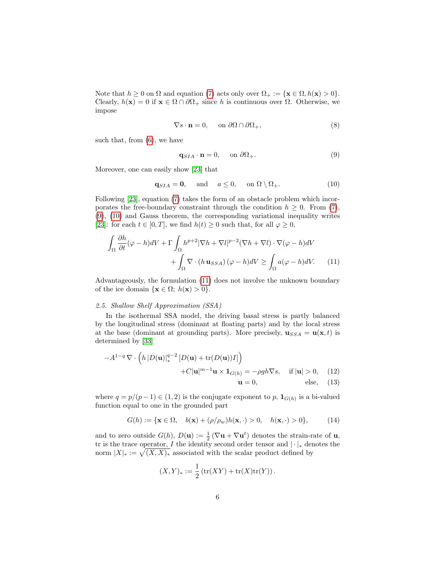Note that  $h \geq 0$  on  $\Omega$  and equation [\(7\)](#page-5-5) acts only over  $\Omega_+ := {\mathbf{x} \in \Omega, h(\mathbf{x}) > 0}.$ Clearly,  $h(\mathbf{x}) = 0$  if  $\mathbf{x} \in \Omega \cap \partial \Omega_+$  since h is continuous over  $\Omega$ . Otherwise, we impose

$$
\nabla s \cdot \mathbf{n} = 0, \quad \text{on } \partial\Omega \cap \partial\Omega_+, \tag{8}
$$

such that, from  $(6)$ , we have

<span id="page-6-3"></span><span id="page-6-2"></span><span id="page-6-1"></span>
$$
\mathbf{q}_{SIA} \cdot \mathbf{n} = 0, \quad \text{on } \partial \Omega_+.
$$
 (9)

Moreover, one can easily show [\[23\]](#page-27-6) that

$$
\mathbf{q}_{SIA} = \mathbf{0}, \quad \text{and} \quad a \le 0, \quad \text{on } \Omega \setminus \Omega_+.
$$
 (10)

Following [\[23\]](#page-27-6), equation [\(7\)](#page-5-5) takes the form of an obstacle problem which incorporates the free-boundary constraint through the condition  $h \geq 0$ . From [\(7\)](#page-5-5), [\(9\)](#page-6-1), [\(10\)](#page-6-2) and Gauss theorem, the corresponding variational inequality writes [\[23\]](#page-27-6): for each  $t \in [0, T]$ , we find  $h(t) \geq 0$  such that, for all  $\varphi \geq 0$ ,

$$
\int_{\Omega} \frac{\partial h}{\partial t} (\varphi - h) dV + \Gamma \int_{\Omega} h^{p+2} |\nabla h + \nabla l|^{p-2} (\nabla h + \nabla l) \cdot \nabla (\varphi - h) dV + \int_{\Omega} \nabla \cdot (h \mathbf{u}_{SSA}) (\varphi - h) dV \ge \int_{\Omega} a(\varphi - h) dV.
$$
 (11)

Advantageously, the formulation [\(11\)](#page-6-3) does not involve the unknown boundary of the ice domain  $\{x \in \Omega; h(x) > 0\}.$ 

#### <span id="page-6-0"></span>2.5. Shallow Shelf Approximation (SSA)

In the isothermal SSA model, the driving basal stress is partly balanced by the longitudinal stress (dominant at floating parts) and by the local stress at the base (dominant at grounding parts). More precisely,  $\mathbf{u}_{SSA} = \mathbf{u}(\mathbf{x}, t)$  is determined by [\[33\]](#page-28-1)

$$
-A^{1-q} \nabla \cdot \left( h \left| D(\mathbf{u}) \right|_{*}^{q-2} \left[ D(\mathbf{u}) + \text{tr}(D(\mathbf{u})) I \right] \right)
$$
  
+C|\mathbf{u}|^{m-1} \mathbf{u} \times \mathbf{1}\_{G(h)} = -\rho gh \nabla s, \quad \text{if } |\mathbf{u}| > 0, \quad (12)  

$$
\mathbf{u} = 0, \qquad \text{else,} \quad (13)
$$

where  $q = p/(p-1) \in (1, 2)$  is the conjugate exponent to p,  $\mathbf{1}_{G(h)}$  is a bi-valued function equal to one in the grounded part

$$
G(h) := \{ \mathbf{x} \in \Omega, \quad b(\mathbf{x}) + (\rho/\rho_w)h(\mathbf{x}, \cdot) > 0, \quad h(\mathbf{x}, \cdot) > 0 \},\tag{14}
$$

and to zero outside  $G(h)$ ,  $D(\mathbf{u}) := \frac{1}{2} (\nabla \mathbf{u} + \nabla \mathbf{u}^t)$  denotes the strain-rate of  $\mathbf{u}$ , tr is the trace operator, I the identity second order tensor and  $|\cdot|_*$  denotes the norm  $|X|_* := \sqrt{(X, X)_*}$  associated with the scalar product defined by

<span id="page-6-5"></span><span id="page-6-4"></span>
$$
(X,Y)_* := \frac{1}{2} (\text{tr}(XY) + \text{tr}(X)\text{tr}(Y)).
$$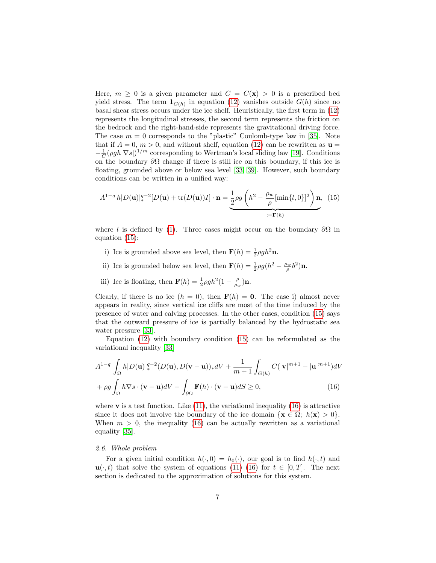Here,  $m \geq 0$  is a given parameter and  $C = C(\mathbf{x}) > 0$  is a prescribed bed yield stress. The term  $\mathbf{1}_{G(h)}$  in equation [\(12\)](#page-6-4) vanishes outside  $G(h)$  since no basal shear stress occurs under the ice shelf. Heuristically, the first term in [\(12\)](#page-6-4) represents the longitudinal stresses, the second term represents the friction on the bedrock and the right-hand-side represents the gravitational driving force. The case  $m = 0$  corresponds to the "plastic" Coulomb-type law in [\[35\]](#page-28-7). Note that if  $A = 0$ ,  $m > 0$ , and without shelf, equation [\(12\)](#page-6-4) can be rewritten as  $\mathbf{u} =$  $-\frac{1}{C}(\rho gh|\nabla s|)^{1/m}$  corresponding to Wertman's local sliding law [\[19\]](#page-27-1). Conditions on the boundary  $\partial\Omega$  change if there is still ice on this boundary, if this ice is floating, grounded above or below sea level [\[33,](#page-28-1) [39\]](#page-29-1). However, such boundary conditions can be written in a unified way:

<span id="page-7-0"></span>
$$
A^{1-q}h|D(\mathbf{u})|_{*}^{q-2}[D(\mathbf{u}) + \text{tr}(D(\mathbf{u}))I] \cdot \mathbf{n} = \underbrace{\frac{1}{2}\rho g\left(h^2 - \frac{\rho_w}{\rho}[\min\{l, 0\}]^2\right)\mathbf{n}}_{:=\mathbf{F}(h)}, \tag{15}
$$

where l is defined by [\(1\)](#page-4-1). Three cases might occur on the boundary  $\partial\Omega$  in equation [\(15\)](#page-7-0):

- i) Ice is grounded above sea level, then  $\mathbf{F}(h) = \frac{1}{2}\rho gh^2 \mathbf{n}$ .
- ii) Ice is grounded below sea level, then  $\mathbf{F}(h) = \frac{1}{2}\rho g(h^2 \frac{\rho_w}{\rho}b^2)\mathbf{n}$ .
- iii) Ice is floating, then  $\mathbf{F}(h) = \frac{1}{2}\rho g h^2 (1 \frac{\rho}{\rho_w}) \mathbf{n}$ .

Clearly, if there is no ice  $(h = 0)$ , then  $F(h) = 0$ . The case i) almost never appears in reality, since vertical ice cliffs are most of the time induced by the presence of water and calving processes. In the other cases, condition [\(15\)](#page-7-0) says that the outward pressure of ice is partially balanced by the hydrostatic sea water pressure [\[33\]](#page-28-1).

Equation [\(12\)](#page-6-4) with boundary condition [\(15\)](#page-7-0) can be reformulated as the variational inequality [\[33\]](#page-28-1)

<span id="page-7-1"></span>
$$
A^{1-q} \int_{\Omega} h|D(\mathbf{u})|_{*}^{q-2} (D(\mathbf{u}), D(\mathbf{v}-\mathbf{u}))_{*} dV + \frac{1}{m+1} \int_{G(h)} C(|\mathbf{v}|^{m+1} - |\mathbf{u}|^{m+1}) dV
$$

$$
+ \rho g \int_{\Omega} h \nabla s \cdot (\mathbf{v} - \mathbf{u}) dV - \int_{\partial \Omega} \mathbf{F}(h) \cdot (\mathbf{v} - \mathbf{u}) dS \ge 0,
$$
(16)

where  $\bf{v}$  is a test function. Like [\(11\)](#page-6-3), the variational inequality [\(16\)](#page-7-1) is attractive since it does not involve the boundary of the ice domain  $\{x \in \Omega: h(x) > 0\}$ . When  $m > 0$ , the inequality [\(16\)](#page-7-1) can be actually rewritten as a variational equality [\[35\]](#page-28-7).

#### 2.6. Whole problem

For a given initial condition  $h(\cdot, 0) = h_0(\cdot)$ , our goal is to find  $h(\cdot, t)$  and  $\mathbf{u}(\cdot,t)$  that solve the system of equations [\(11\)](#page-6-3) [\(16\)](#page-7-1) for  $t \in [0,T]$ . The next section is dedicated to the approximation of solutions for this system.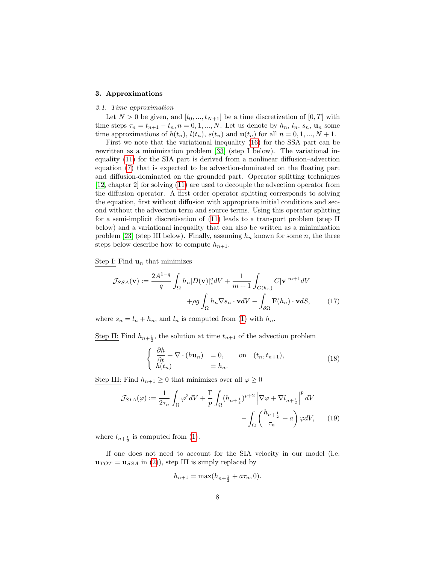#### <span id="page-8-0"></span>3. Approximations

#### 3.1. Time approximation

Let  $N > 0$  be given, and  $[t_0, ..., t_{N+1}]$  be a time discretization of  $[0, T]$  with time steps  $\tau_n = t_{n+1} - t_n$ ,  $n = 0, 1, ..., N$ . Let us denote by  $h_n$ ,  $l_n$ ,  $s_n$ ,  $u_n$  some time approximations of  $h(t_n)$ ,  $l(t_n)$ ,  $s(t_n)$  and  $\mathbf{u}(t_n)$  for all  $n = 0, 1, ..., N + 1$ .

First we note that the variational inequality [\(16\)](#page-7-1) for the SSA part can be rewritten as a minimization problem [\[33\]](#page-28-1) (step I below). The variational inequality [\(11\)](#page-6-3) for the SIA part is derived from a nonlinear diffusion–advection equation [\(7\)](#page-5-5) that is expected to be advection-dominated on the floating part and diffusion-dominated on the grounded part. Operator splitting techniques [\[12,](#page-27-7) chapter 2] for solving [\(11\)](#page-6-3) are used to decouple the advection operator from the diffusion operator. A first order operator splitting corresponds to solving the equation, first without diffusion with appropriate initial conditions and second without the advection term and source terms. Using this operator splitting for a semi-implicit discretisation of [\(11\)](#page-6-3) leads to a transport problem (step II below) and a variational inequality that can also be written as a minimization problem [\[23\]](#page-27-6) (step III below). Finally, assuming  $h_n$  known for some n, the three steps below describe how to compute  $h_{n+1}$ .

Step I: Find  $\mathbf{u}_n$  that minimizes

$$
\mathcal{J}_{SSA}(\mathbf{v}) := \frac{2A^{1-q}}{q} \int_{\Omega} h_n |D(\mathbf{v})|_*^q dV + \frac{1}{m+1} \int_{G(h_n)} C |\mathbf{v}|^{m+1} dV
$$

$$
+ \rho g \int_{\Omega} h_n \nabla s_n \cdot \mathbf{v} dV - \int_{\partial \Omega} \mathbf{F}(h_n) \cdot \mathbf{v} dS, \tag{17}
$$

where  $s_n = l_n + h_n$ , and  $l_n$  is computed from [\(1\)](#page-4-1) with  $h_n$ .

Step II: Find  $h_{n+\frac{1}{2}}$ , the solution at time  $t_{n+1}$  of the advection problem

<span id="page-8-1"></span>
$$
\begin{cases} \frac{\partial h}{\partial t} + \nabla \cdot (h \mathbf{u}_n) = 0, & \text{on } (t_n, t_{n+1}), \\ h(t_n) = h_n. \end{cases}
$$
 (18)

Step III: Find  $h_{n+1} \geq 0$  that minimizes over all  $\varphi \geq 0$ 

$$
\mathcal{J}_{SIA}(\varphi) := \frac{1}{2\tau_n} \int_{\Omega} \varphi^2 dV + \frac{\Gamma}{p} \int_{\Omega} (h_{n+\frac{1}{2}})^{p+2} \left| \nabla \varphi + \nabla l_{n+\frac{1}{2}} \right|^p dV
$$

$$
- \int_{\Omega} \left( \frac{h_{n+\frac{1}{2}}}{\tau_n} + a \right) \varphi dV, \qquad (19)
$$

where  $l_{n+\frac{1}{2}}$  is computed from [\(1\)](#page-4-1).

If one does not need to account for the SIA velocity in our model (i.e.  $\mathbf{u}_{TOT} = \mathbf{u}_{SSA}$  in [\(2\)](#page-4-2)), step III is simply replaced by

$$
h_{n+1} = \max(h_{n+\frac{1}{2}} + a\tau_n, 0).
$$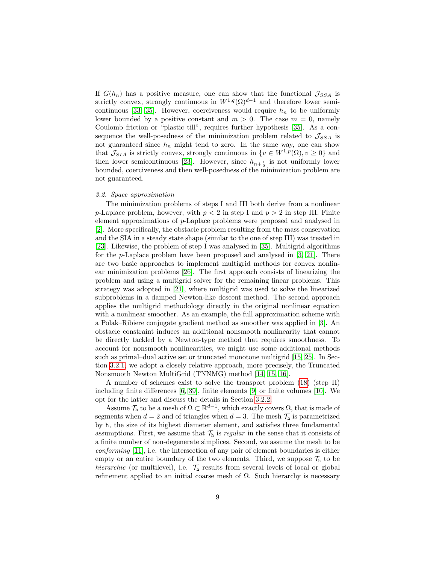If  $G(h_n)$  has a positive measure, one can show that the functional  $\mathcal{J}_{SSA}$  is strictly convex, strongly continuous in  $W^{1,q}(\Omega)^{d-1}$  and therefore lower semi-continuous [\[33,](#page-28-1) [35\]](#page-28-7). However, coerciveness would require  $h_n$  to be uniformly lower bounded by a positive constant and  $m > 0$ . The case  $m = 0$ , namely Coulomb friction or "plastic till", requires further hypothesis [\[35\]](#page-28-7). As a consequence the well-posedness of the minimization problem related to  $\mathcal{J}_{SSA}$  is not guaranteed since  $h_n$  might tend to zero. In the same way, one can show that  $\mathcal{J}_{SIA}$  is strictly convex, strongly continuous in  $\{v \in W^{1,p}(\Omega), v \geq 0\}$  and then lower semicontinuous [\[23\]](#page-27-6). However, since  $h_{n+\frac{1}{2}}$  is not uniformly lower bounded, coerciveness and then well-posedness of the minimization problem are not guaranteed.

#### <span id="page-9-0"></span>3.2. Space approximation

The minimization problems of steps I and III both derive from a nonlinear p-Laplace problem, however, with  $p < 2$  in step I and  $p > 2$  in step III. Finite element approximations of p-Laplace problems were proposed and analysed in [\[2\]](#page-26-5). More specifically, the obstacle problem resulting from the mass conservation and the SIA in a steady state shape (similar to the one of step III) was treated in [\[23\]](#page-27-6). Likewise, the problem of step I was analysed in [\[35\]](#page-28-7). Multigrid algorithms for the p-Laplace problem have been proposed and analysed in [\[3,](#page-26-6) [21\]](#page-27-8). There are two basic approaches to implement multigrid methods for convex nonlinear minimization problems [\[26\]](#page-28-8). The first approach consists of linearizing the problem and using a multigrid solver for the remaining linear problems. This strategy was adopted in [\[21\]](#page-27-8), where multigrid was used to solve the linearized subproblems in a damped Newton-like descent method. The second approach applies the multigrid methodology directly in the original nonlinear equation with a nonlinear smoother. As an example, the full approximation scheme with a Polak–Ribiere conjugate gradient method as smoother was applied in [\[3\]](#page-26-6). An obstacle constraint induces an additional nonsmooth nonlinearity that cannot be directly tackled by a Newton-type method that requires smoothness. To account for nonsmooth nonlinearities, we might use some additional methods such as primal–dual active set or truncated monotone multigrid [\[15,](#page-27-4) [25\]](#page-28-9). In Section [3.2.1,](#page-10-0) we adopt a closely relative approach, more precisely, the Truncated Nonsmooth Newton MultiGrid (TNNMG) method [\[14,](#page-27-9) [15,](#page-27-4) [16\]](#page-27-5).

A number of schemes exist to solve the transport problem [\(18\)](#page-8-1) (step II) including finite differences [\[6,](#page-26-0) [39\]](#page-29-1), finite elements [\[9\]](#page-27-3) or finite volumes [\[10\]](#page-27-10). We opt for the latter and discuss the details in Section [3.2.2.](#page-13-0)

Assume  $\mathcal{T}_{h}$  to be a mesh of  $\Omega \subset \mathbb{R}^{d-1}$ , which exactly covers  $\Omega$ , that is made of segments when  $d = 2$  and of triangles when  $d = 3$ . The mesh  $\mathcal{T}_h$  is parametrized by h, the size of its highest diameter element, and satisfies three fundamental assumptions. First, we assume that  $\mathcal{T}_h$  is *regular* in the sense that it consists of a finite number of non-degenerate simplices. Second, we assume the mesh to be *conforming* [\[11\]](#page-27-11), i.e. the intersection of any pair of element boundaries is either empty or an entire boundary of the two elements. Third, we suppose  $\mathcal{T}_h$  to be hierarchic (or multilevel), i.e.  $\mathcal{T}_{h}$  results from several levels of local or global refinement applied to an initial coarse mesh of  $\Omega$ . Such hierarchy is necessary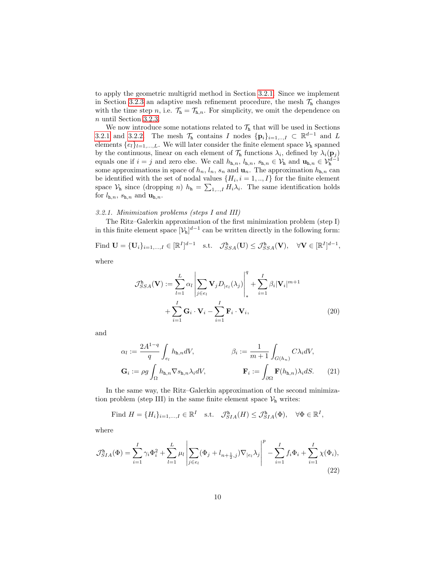to apply the geometric multigrid method in Section [3.2.1.](#page-10-0) Since we implement in Section [3.2.3](#page-14-0) an adaptive mesh refinement procedure, the mesh  $\mathcal{T}_h$  changes with the time step n, i.e.  $\mathcal{T}_h = \mathcal{T}_{h,n}$ . For simplicity, we omit the dependence on n until Section [3.2.3.](#page-14-0)

We now introduce some notations related to  $\mathcal{T}_{h}$  that will be used in Sections [3.2.1](#page-10-0) and [3.2.2.](#page-13-0) The mesh  $\mathcal{T}_h$  contains I nodes  $\{p_i\}_{i=1,\dots,I} \subset \mathbb{R}^{d-1}$  and L elements  $\{e_l\}_{l=1,\ldots,L}$ . We will later consider the finite element space  $\mathcal{V}_h$  spanned by the continuous, linear on each element of  $\mathcal{T}_h$  functions  $\lambda_i$ , defined by  $\lambda_i(\mathbf{p}_j)$ equals one if  $i = j$  and zero else. We call  $h_{h,n}$ ,  $l_{h,n}$ ,  $s_{h,n} \in \mathcal{V}_h$  and  $\mathbf{u}_{h,n} \in \mathcal{V}_h^{d-1}$ some approximations in space of  $h_n$ ,  $l_n$ ,  $s_n$  and  $\mathbf{u}_n$ . The approximation  $h_{\mathbf{h},n}$  can be identified with the set of nodal values  $\{H_i, i = 1, ..., I\}$  for the finite element space  $V_h$  since (dropping n)  $h_h = \sum_{1,\dots,I} H_i \lambda_i$ . The same identification holds for  $l_{\text{h},n}$ ,  $s_{\text{h},n}$  and  $\mathbf{u}_{\text{h},n}$ .

#### <span id="page-10-0"></span>3.2.1. Minimization problems (steps I and III)

The Ritz–Galerkin approximation of the first minimization problem (step I) in this finite element space  $[\mathcal{V}_h]^{d-1}$  can be written directly in the following form:

Find  $\mathbf{U} = {\{\mathbf{U}_i\}_{i=1,\ldots,I}} \in {\mathbb{R}^I}^{d-1}$  s.t.  $\mathcal{J}_{SSA}^{\mathtt{h}}(\mathbf{U}) \leq \mathcal{J}_{SSA}^{\mathtt{h}}(\mathbf{V}), \quad \forall \mathbf{V} \in {\mathbb{R}^I}^{d-1},$ 

where

<span id="page-10-2"></span>
$$
\mathcal{J}_{SSA}^{\mathbf{h}}(\mathbf{V}) := \sum_{l=1}^{L} \alpha_l \left| \sum_{j \in e_l} \mathbf{V}_j D_{|e_l}(\lambda_j) \right|_*^q + \sum_{i=1}^{I} \beta_i |\mathbf{V}_i|^{m+1} + \sum_{i=1}^{I} \mathbf{G}_i \cdot \mathbf{V}_i - \sum_{i=1}^{I} \mathbf{F}_i \cdot \mathbf{V}_i, \tag{20}
$$

and

<span id="page-10-1"></span>
$$
\alpha_l := \frac{2A^{1-q}}{q} \int_{e_l} h_{\mathbf{h},n} dV, \qquad \beta_i := \frac{1}{m+1} \int_{G(h_n)} C \lambda_i dV,
$$

$$
\mathbf{G}_i := \rho g \int_{\Omega} h_{\mathbf{h},n} \nabla s_{\mathbf{h},n} \lambda_i dV, \qquad \mathbf{F}_i := \int_{\partial \Omega} \mathbf{F}(h_{\mathbf{h},n}) \lambda_i dS. \tag{21}
$$

In the same way, the Ritz–Galerkin approximation of the second minimization problem (step III) in the same finite element space  $\mathcal{V}_h$  writes:

<span id="page-10-3"></span>Find 
$$
H = \{H_i\}_{i=1,\dots,I} \in \mathbb{R}^I
$$
 s.t.  $\mathcal{J}_{SIA}^{\mathbf{h}}(H) \leq \mathcal{J}_{SIA}^{\mathbf{h}}(\Phi)$ ,  $\forall \Phi \in \mathbb{R}^I$ ,

where

$$
\mathcal{J}_{SIA}^{\mathbf{h}}(\Phi) = \sum_{i=1}^{I} \gamma_i \Phi_i^2 + \sum_{l=1}^{L} \mu_l \left| \sum_{j \in e_l} (\Phi_j + l_{n + \frac{1}{2},j}) \nabla_{|e_l} \lambda_j \right|^p - \sum_{i=1}^{I} f_i \Phi_i + \sum_{i=1}^{I} \chi(\Phi_i),
$$
\n(22)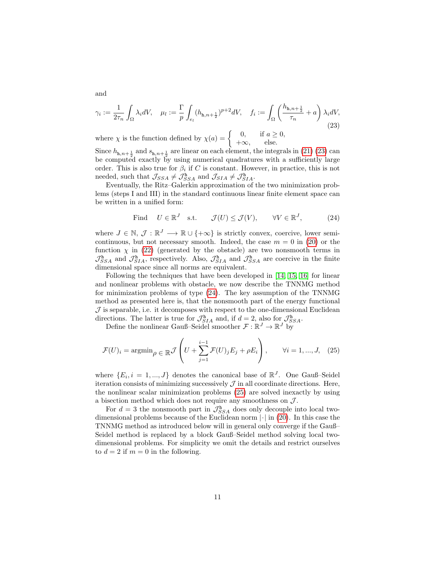<span id="page-11-0"></span>
$$
\gamma_i := \frac{1}{2\tau_n} \int_{\Omega} \lambda_i dV, \quad \mu_l := \frac{\Gamma}{p} \int_{e_l} (h_{\mathbf{h}, n + \frac{1}{2}})^{p+2} dV, \quad f_i := \int_{\Omega} \left( \frac{h_{\mathbf{h}, n + \frac{1}{2}}}{\tau_n} + a \right) \lambda_i dV,
$$
\n(23)

where  $\chi$  is the function defined by  $\chi(a) = \begin{cases} 0, & \text{if } a \geq 0, \\ 0, & \text{else.} \end{cases}$  $+\infty$ , else.

Since  $h_{h,n+\frac{1}{2}}$  and  $s_{h,n+\frac{1}{2}}$  are linear on each element, the integrals in [\(21\)](#page-10-1) [\(23\)](#page-11-0) can be computed exactly by using numerical quadratures with a sufficiently large order. This is also true for  $\beta_i$  if C is constant. However, in practice, this is not needed, such that  $\mathcal{J}_{SSA} \neq \mathcal{J}_{SSA}^{\mathbf{h}}$  and  $\mathcal{J}_{SIA} \neq \mathcal{J}_{SIA}^{\mathbf{h}}$ .

Eventually, the Ritz–Galerkin approximation of the two minimization problems (steps I and III) in the standard continuous linear finite element space can be written in a unified form:

<span id="page-11-1"></span>Find 
$$
U \in \mathbb{R}^J
$$
 s.t.  $\mathcal{J}(U) \leq \mathcal{J}(V)$ ,  $\forall V \in \mathbb{R}^J$ , (24)

where  $J \in \mathbb{N}, \mathcal{J} : \mathbb{R}^J \longrightarrow \mathbb{R} \cup \{+\infty\}$  is strictly convex, coercive, lower semicontinuous, but not necessary smooth. Indeed, the case  $m = 0$  in [\(20\)](#page-10-2) or the function  $\chi$  in [\(22\)](#page-10-3) (generated by the obstacle) are two nonsmooth terms in  $\mathcal{J}_{SSA}^{\text{h}}$  and  $\mathcal{J}_{SIA}^{\text{h}}$ , respectively. Also,  $\mathcal{J}_{SIA}^{\text{h}}$  and  $\mathcal{J}_{SSA}^{\text{h}}$  are coercive in the finite dimensional space since all norms are equivalent.

Following the techniques that have been developed in [\[14,](#page-27-9) [15,](#page-27-4) [16\]](#page-27-5) for linear and nonlinear problems with obstacle, we now describe the TNNMG method for minimization problems of type [\(24\)](#page-11-1). The key assumption of the TNNMG method as presented here is, that the nonsmooth part of the energy functional  $J$  is separable, i.e. it decomposes with respect to the one-dimensional Euclidean directions. The latter is true for  $\mathcal{J}_{SIA}^{\text{h}}$  and, if  $d = 2$ , also for  $\mathcal{J}_{SSA}^{\text{h}}$ .

Define the nonlinear Gauß–Seidel smoother  $\mathcal{F}: \mathbb{R}^J \to \mathbb{R}^J$  by

<span id="page-11-2"></span>
$$
\mathcal{F}(U)_i = \operatorname{argmin}_{\rho} \in \mathbb{R} \mathcal{J} \left( U + \sum_{j=1}^{i-1} \mathcal{F}(U)_j E_j + \rho E_i \right), \qquad \forall i = 1, ..., J, \quad (25)
$$

where  $\{E_i, i = 1, ..., J\}$  denotes the canonical base of  $\mathbb{R}^J$ . One Gauß-Seidel iteration consists of minimizing successively  $\mathcal J$  in all coordinate directions. Here, the nonlinear scalar minimization problems [\(25\)](#page-11-2) are solved inexactly by using a bisection method which does not require any smoothness on  $\mathcal{J}$ .

For  $d=3$  the nonsmooth part in  $\mathcal{J}_{SSA}^{\text{h}}$  does only decouple into local twodimensional problems because of the Euclidean norm  $|\cdot|$  in [\(20\)](#page-10-2). In this case the TNNMG method as introduced below will in general only converge if the Gauß– Seidel method is replaced by a block Gauß–Seidel method solving local twodimensional problems. For simplicity we omit the details and restrict ourselves to  $d = 2$  if  $m = 0$  in the following.

and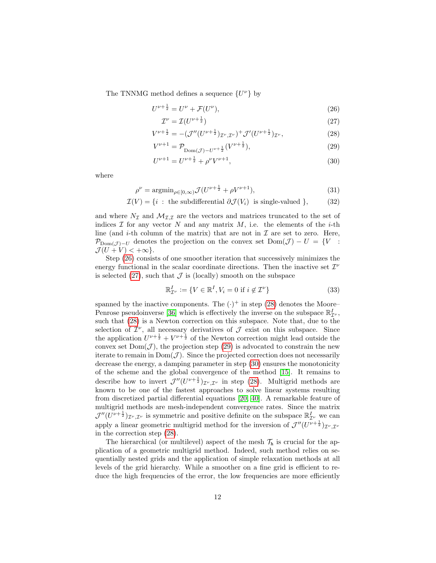The TNNMG method defines a sequence  $\{U^{\nu}\}$  by

$$
U^{\nu + \frac{1}{2}} = U^{\nu} + \mathcal{F}(U^{\nu}), \tag{26}
$$

<span id="page-12-4"></span><span id="page-12-3"></span><span id="page-12-2"></span><span id="page-12-1"></span><span id="page-12-0"></span>
$$
\mathcal{I}^{\nu} = \mathcal{I}(U^{\nu + \frac{1}{2}}) \tag{27}
$$

$$
V^{\nu+\frac{1}{2}} = -(\mathcal{J}''(U^{\nu+\frac{1}{2}})_{\mathcal{I}^{\nu},\mathcal{I}^{\nu}})^+ \mathcal{J}'(U^{\nu+\frac{1}{2}})_{\mathcal{I}^{\nu}},\tag{28}
$$

$$
V^{\nu+1} = \mathcal{P}_{\text{Dom}(\mathcal{J}) - U^{\nu+\frac{1}{2}}}(V^{\nu+\frac{1}{2}}),\tag{29}
$$

$$
U^{\nu+1} = U^{\nu+\frac{1}{2}} + \rho^{\nu} V^{\nu+1},\tag{30}
$$

where

$$
\rho^{\nu} = \operatorname{argmin}_{\rho \in [0,\infty)} \mathcal{J}(U^{\nu + \frac{1}{2}} + \rho V^{\nu + 1}),\tag{31}
$$

$$
\mathcal{I}(V) = \{i : \text{ the subdifferential } \partial \mathcal{J}(V_i) \text{ is single-valued } \},\tag{32}
$$

and where  $N_{\mathcal{I}}$  and  $\mathcal{M}_{\mathcal{I},\mathcal{I}}$  are the vectors and matrices truncated to the set of indices  $\mathcal I$  for any vector  $N$  and any matrix  $M$ , i.e. the elements of the *i*-th line (and *i*-th column of the matrix) that are not in  $\mathcal I$  are set to zero. Here,  $\mathcal{P}_{Dom(\mathcal{J})-U}$  denotes the projection on the convex set  $Dom(\mathcal{J}) - U = \{V :$  $\mathcal{J}(U+V)<+\infty$ .

Step [\(26\)](#page-12-0) consists of one smoother iteration that successively minimizes the energy functional in the scalar coordinate directions. Then the inactive set  $\mathcal{I}^{\nu}$ is selected  $(27)$ , such that  $\mathcal J$  is (locally) smooth on the subspace

$$
\mathbb{R}_{\mathcal{I}^{\nu}}^{I} := \{ V \in \mathbb{R}^{I}, V_{i} = 0 \text{ if } i \notin \mathcal{I}^{\nu} \}
$$
\n(33)

spanned by the inactive components. The  $(\cdot)^+$  in step [\(28\)](#page-12-2) denotes the Moore– Penrose pseudoinverse [\[36\]](#page-28-10) which is effectively the inverse on the subspace  $\mathbb{R}^I_{\mathcal{I}'}$ , such that [\(28\)](#page-12-2) is a Newton correction on this subspace. Note that, due to the selection of  $\mathcal{I}^{\nu}$ , all necessary derivatives of  $\mathcal{J}$  exist on this subspace. Since the application  $U^{\nu+\frac{1}{2}}+V^{\nu+\frac{1}{2}}$  of the Newton correction might lead outside the convex set  $Dom(\mathcal{J})$ , the projection step [\(29\)](#page-12-3) is advocated to constrain the new iterate to remain in  $Dom(\mathcal{J})$ . Since the projected correction does not necessarily decrease the energy, a damping parameter in step [\(30\)](#page-12-4) ensures the monotonicity of the scheme and the global convergence of the method [\[15\]](#page-27-4). It remains to describe how to invert  $\mathcal{J}''(U^{\nu+\frac{1}{2}})_{\mathcal{I}''},\mathcal{I}^{\nu}$  in step [\(28\)](#page-12-2). Multigrid methods are known to be one of the fastest approaches to solve linear systems resulting from discretized partial differential equations [\[20,](#page-27-12) [40\]](#page-29-3). A remarkable feature of multigrid methods are mesh-independent convergence rates. Since the matrix  $\mathcal{J}''(U^{\nu+\frac{1}{2}})_{\mathcal{I}^{\nu},\mathcal{I}^{\nu}}$  is symmetric and positive definite on the subspace  $\mathbb{R}_{\mathcal{I}^{\nu}}^{I}$  we can apply a linear geometric multigrid method for the inversion of  $\mathcal{J}''(U^{\nu+\frac{1}{2}})_{\mathcal{I}'',\mathcal{I}'}$ in the correction step [\(28\)](#page-12-2).

The hierarchical (or multilevel) aspect of the mesh  $\mathcal{T}_h$  is crucial for the application of a geometric multigrid method. Indeed, such method relies on sequentially nested grids and the application of simple relaxation methods at all levels of the grid hierarchy. While a smoother on a fine grid is efficient to reduce the high frequencies of the error, the low frequencies are more efficiently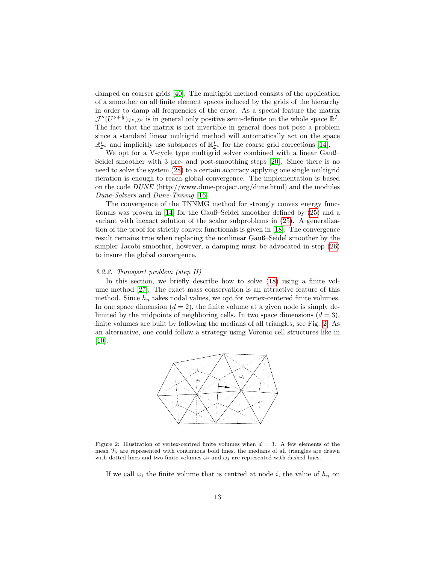damped on coarser grids [\[40\]](#page-29-3). The multigrid method consists of the application of a smoother on all finite element spaces induced by the grids of the hierarchy in order to damp all frequencies of the error. As a special feature the matrix  $\mathcal{J}''(U^{\nu+\frac{1}{2}})_{\mathcal{I}^{\nu},\mathcal{I}^{\nu}}$  is in general only positive semi-definite on the whole space  $\mathbb{R}^{I}$ . The fact that the matrix is not invertible in general does not pose a problem since a standard linear multigrid method will automatically act on the space  $\mathbb{R}^I_{\mathcal{I}^\nu}$  and implicitly use subspaces of  $\mathbb{R}^I_{\mathcal{I}^\nu}$  for the coarse grid corrections [\[14\]](#page-27-9).

We opt for a V-cycle type multigrid solver combined with a linear Gauß– Seidel smoother with 3 pre- and post-smoothing steps [\[20\]](#page-27-12). Since there is no need to solve the system [\(28\)](#page-12-2) to a certain accuracy applying one single multigrid iteration is enough to reach global convergence. The implementation is based on the code DUNE (http://www.dune-project.org/dune.html) and the modules Dune-Solvers and Dune-Tnnmg [\[16\]](#page-27-5).

The convergence of the TNNMG method for strongly convex energy functionals was proven in [\[14\]](#page-27-9) for the Gauß–Seidel smoother defined by [\(25\)](#page-11-2) and a variant with inexact solution of the scalar subproblems in [\(25\)](#page-11-2). A generalization of the proof for strictly convex functionals is given in [\[18\]](#page-27-13). The convergence result remains true when replacing the nonlinear Gauß–Seidel smoother by the simpler Jacobi smoother, however, a damping must be advocated in step [\(26\)](#page-12-0) to insure the global convergence.

#### <span id="page-13-0"></span>3.2.2. Transport problem (step II)

In this section, we briefly describe how to solve [\(18\)](#page-8-1) using a finite volume method [\[27\]](#page-28-11). The exact mass conservation is an attractive feature of this method. Since  $h_n$  takes nodal values, we opt for vertex-centered finite volumes. In one space dimension  $(d = 2)$ , the finite volume at a given node is simply delimited by the midpoints of neighboring cells. In two space dimensions  $(d = 3)$ , finite volumes are built by following the medians of all triangles, see Fig. [2.](#page-13-1) As an alternative, one could follow a strategy using Voronoi cell structures like in  $[10]$ .



<span id="page-13-1"></span>Figure 2: Illustration of vertex-centred finite volumes when  $d = 3$ . A few elements of the mesh  $\mathcal{T}_h$  are represented with continuous bold lines, the medians of all triangles are drawn with dotted lines and two finite volumes  $\omega_i$  and  $\omega_j$  are represented with dashed lines.

If we call  $\omega_i$  the finite volume that is centred at node i, the value of  $h_n$  on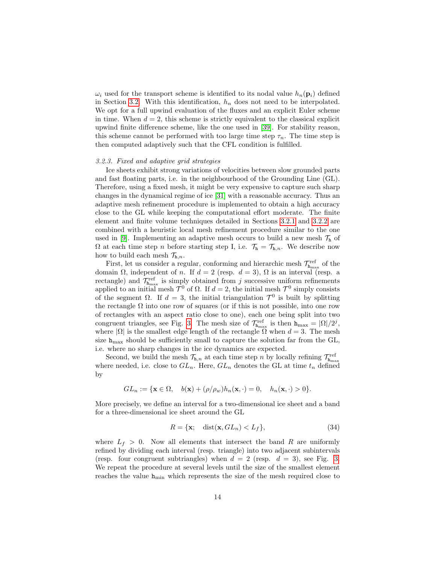$\omega_i$  used for the transport scheme is identified to its nodal value  $h_n(\mathbf{p}_i)$  defined in Section [3.2.](#page-9-0) With this identification,  $h_n$  does not need to be interpolated. We opt for a full upwind evaluation of the fluxes and an explicit Euler scheme in time. When  $d = 2$ , this scheme is strictly equivalent to the classical explicit upwind finite difference scheme, like the one used in [\[39\]](#page-29-1). For stability reason, this scheme cannot be performed with too large time step  $\tau_n$ . The time step is then computed adaptively such that the CFL condition is fulfilled.

#### <span id="page-14-0"></span>3.2.3. Fixed and adaptive grid strategies

Ice sheets exhibit strong variations of velocities between slow grounded parts and fast floating parts, i.e. in the neighbourhood of the Grounding Line (GL). Therefore, using a fixed mesh, it might be very expensive to capture such sharp changes in the dynamical regime of ice [\[31\]](#page-28-5) with a reasonable accuracy. Thus an adaptive mesh refinement procedure is implemented to obtain a high accuracy close to the GL while keeping the computational effort moderate. The finite element and finite volume techniques detailed in Sections [3.2.1](#page-10-0) and [3.2.2](#page-13-0) are combined with a heuristic local mesh refinement procedure similar to the one used in [\[9\]](#page-27-3). Implementing an adaptive mesh occurs to build a new mesh  $\mathcal{T}_{h}$  of  $\Omega$  at each time step n before starting step I, i.e.  $\mathcal{T}_{h} = \mathcal{T}_{h,n}$ . We describe now how to build each mesh  $\mathcal{T}_{h,n}$ .

First, let us consider a regular, conforming and hierarchic mesh  $\mathcal{T}^{\text{ref}}_{\mathbf{h}_{\text{max}}}$  of the domain  $\Omega$ , independent of n. If  $d = 2$  (resp.  $d = 3$ ),  $\Omega$  is an interval (resp. a rectangle) and  $\mathcal{T}_{\mathbf{h}_{\max}}^{\text{ref}}$  is simply obtained from j successive uniform refinements applied to an initial mesh  $\mathcal{T}^0$  of Ω. If  $d = 2$ , the initial mesh  $\mathcal{T}^0$  simply consists of the segment  $\Omega$ . If  $d = 3$ , the initial triangulation  $\mathcal{T}^0$  is built by splitting the rectangle  $\Omega$  into one row of squares (or if this is not possible, into one row of rectangles with an aspect ratio close to one), each one being split into two congruent triangles, see Fig. [3.](#page-15-1) The mesh size of  $\mathcal{T}_{h_{\max}}^{\text{ref}}$  is then  $h_{\max} = |\Omega|/2^j$ , where  $|\Omega|$  is the smallest edge length of the rectangle  $\Omega$  when  $d = 3$ . The mesh size  $h_{\text{max}}$  should be sufficiently small to capture the solution far from the GL, i.e. where no sharp changes in the ice dynamics are expected.

Second, we build the mesh  $\mathcal{T}_{h,n}$  at each time step n by locally refining  $\mathcal{T}_{h_{\max}}^{\text{ref}}$ where needed, i.e. close to  $GL_n$ . Here,  $GL_n$  denotes the GL at time  $t_n$  defined by

$$
GL_n := \{ \mathbf{x} \in \Omega, \quad b(\mathbf{x}) + (\rho/\rho_w) h_n(\mathbf{x}, \cdot) = 0, \quad h_n(\mathbf{x}, \cdot) > 0 \}.
$$

More precisely, we define an interval for a two-dimensional ice sheet and a band for a three-dimensional ice sheet around the GL

$$
R = \{ \mathbf{x}; \quad \text{dist}(\mathbf{x}, GL_n) < L_f \},\tag{34}
$$

where  $L_f > 0$ . Now all elements that intersect the band R are uniformly refined by dividing each interval (resp. triangle) into two adjacent subintervals (resp. four congruent subtriangles) when  $d = 2$  (resp.  $d = 3$ ), see Fig. [3.](#page-15-1) We repeat the procedure at several levels until the size of the smallest element reaches the value  $h_{\text{min}}$  which represents the size of the mesh required close to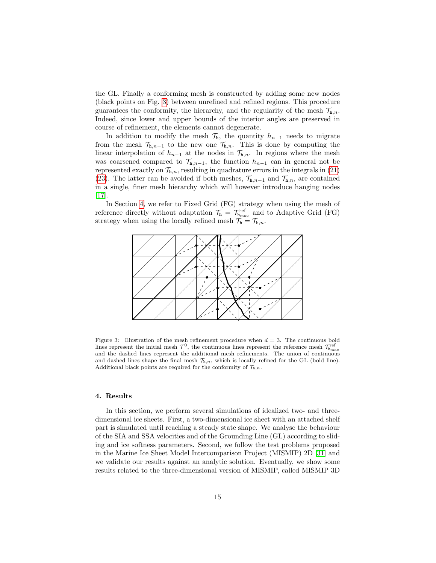the GL. Finally a conforming mesh is constructed by adding some new nodes (black points on Fig. [3\)](#page-15-1) between unrefined and refined regions. This procedure guarantees the conformity, the hierarchy, and the regularity of the mesh  $\mathcal{T}_{h,n}$ . Indeed, since lower and upper bounds of the interior angles are preserved in course of refinement, the elements cannot degenerate.

In addition to modify the mesh  $\mathcal{T}_h$ , the quantity  $h_{n-1}$  needs to migrate from the mesh  $\mathcal{T}_{h,n-1}$  to the new one  $\mathcal{T}_{h,n}$ . This is done by computing the linear interpolation of  $h_{n-1}$  at the nodes in  $\mathcal{T}_{h,n}$ . In regions where the mesh was coarsened compared to  $\mathcal{T}_{h,n-1}$ , the function  $h_{n-1}$  can in general not be represented exactly on  $\mathcal{T}_{h,n}$ , resulting in quadrature errors in the integrals in [\(21\)](#page-10-1) [\(23\)](#page-11-0). The latter can be avoided if both meshes,  $\mathcal{T}_{h,n-1}$  and  $\mathcal{T}_{h,n}$ , are contained in a single, finer mesh hierarchy which will however introduce hanging nodes [\[17\]](#page-27-14).

In Section [4,](#page-15-0) we refer to Fixed Grid (FG) strategy when using the mesh of reference directly without adaptation  $\mathcal{T}_{h} = \mathcal{T}_{h_{\text{max}}}^{\text{ref}}$  and to Adaptive Grid (FG) strategy when using the locally refined mesh  $\mathcal{T}_{h} = \mathcal{T}_{h,n}$ .



<span id="page-15-1"></span>Figure 3: Illustration of the mesh refinement procedure when  $d = 3$ . The continuous bold lines represent the initial mesh  $\mathcal{T}^0$ , the continuous lines represent the reference mesh  $\mathcal{T}^{\text{ref}}_{h_{\text{max}}}$ and the dashed lines represent the additional mesh refinements. The union of continuous and dashed lines shape the final mesh  $\mathcal{T}_{h,n}$ , which is locally refined for the GL (bold line). Additional black points are required for the conformity of  $\mathcal{T}_{h,n}$ .

#### <span id="page-15-0"></span>4. Results

In this section, we perform several simulations of idealized two- and threedimensional ice sheets. First, a two-dimensional ice sheet with an attached shelf part is simulated until reaching a steady state shape. We analyse the behaviour of the SIA and SSA velocities and of the Grounding Line (GL) according to sliding and ice softness parameters. Second, we follow the test problems proposed in the Marine Ice Sheet Model Intercomparison Project (MISMIP) 2D [\[31\]](#page-28-5) and we validate our results against an analytic solution. Eventually, we show some results related to the three-dimensional version of MISMIP, called MISMIP 3D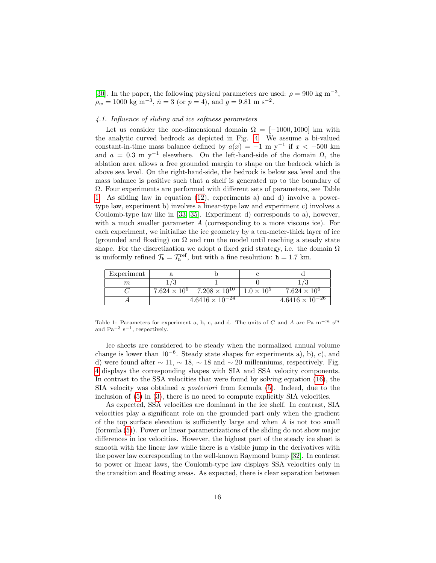[\[30\]](#page-28-4). In the paper, the following physical parameters are used:  $\rho = 900 \text{ kg m}^{-3}$ ,  $\rho_w = 1000 \text{ kg m}^{-3}, \bar{n} = 3 \text{ (or } p = 4), \text{ and } g = 9.81 \text{ m s}^{-2}.$ 

#### <span id="page-16-1"></span>4.1. Influence of sliding and ice softness parameters

Let us consider the one-dimensional domain  $\Omega = [-1000, 1000]$  km with the analytic curved bedrock as depicted in Fig. [4.](#page-17-0) We assume a bi-valued constant-in-time mass balance defined by  $a(x) = -1$  m y<sup>-1</sup> if  $x < -500$  km and  $a = 0.3$  m y<sup>-1</sup> elsewhere. On the left-hand-side of the domain  $\Omega$ , the ablation area allows a free grounded margin to shape on the bedrock which is above sea level. On the right-hand-side, the bedrock is below sea level and the mass balance is positive such that a shelf is generated up to the boundary of Ω. Four experiments are performed with different sets of parameters, see Table [1.](#page-16-0) As sliding law in equation [\(12\)](#page-6-4), experiments a) and d) involve a powertype law, experiment b) involves a linear-type law and experiment c) involves a Coulomb-type law like in [\[33,](#page-28-1) [35\]](#page-28-7). Experiment d) corresponds to a), however, with a much smaller parameter A (corresponding to a more viscous ice). For each experiment, we initialize the ice geometry by a ten-meter-thick layer of ice (grounded and floating) on  $\Omega$  and run the model until reaching a steady state shape. For the discretization we adopt a fixed grid strategy, i.e. the domain  $\Omega$ is uniformly refined  $\mathcal{T}_{\mathbf{h}} = \mathcal{T}_{\mathbf{h}}^{\text{ref}}$ , but with a fine resolution:  $\mathbf{h} = 1.7$  km.

| Experiment |                          |                        |                   |                                     |
|------------|--------------------------|------------------------|-------------------|-------------------------------------|
| m          |                          |                        |                   |                                     |
|            | $7.624 \times 10^{6}$    | $7.208 \times 10^{10}$ | $1.0 \times 10^5$ | $7.624 \times 10^{6}$               |
|            | $4.6416 \times 10^{-24}$ |                        |                   | $4.6416 \times \overline{10^{-26}}$ |

<span id="page-16-0"></span>Table 1: Parameters for experiment a, b, c, and d. The units of C and A are Pa m<sup>-m</sup> s<sup>m</sup> and  $Pa^{-3} s^{-1}$ , respectively.

Ice sheets are considered to be steady when the normalized annual volume change is lower than  $10^{-6}$ . Steady state shapes for experiments a), b), c), and d) were found after  $\sim 11$ ,  $\sim 18$ ,  $\sim 18$  and  $\sim 20$  millenniums, respectively. Fig. [4](#page-17-0) displays the corresponding shapes with SIA and SSA velocity components. In contrast to the SSA velocities that were found by solving equation [\(16\)](#page-7-1), the SIA velocity was obtained a posteriori from formula [\(5\)](#page-5-3). Indeed, due to the inclusion of [\(5\)](#page-5-3) in [\(3\)](#page-5-1), there is no need to compute explicitly SIA velocities.

As expected, SSA velocities are dominant in the ice shelf. In contrast, SIA velocities play a significant role on the grounded part only when the gradient of the top surface elevation is sufficiently large and when  $A$  is not too small (formula [\(5\)](#page-5-3)). Power or linear parametrizations of the sliding do not show major differences in ice velocities. However, the highest part of the steady ice sheet is smooth with the linear law while there is a visible jump in the derivatives with the power law corresponding to the well-known Raymond bump [\[32\]](#page-28-12). In contrast to power or linear laws, the Coulomb-type law displays SSA velocities only in the transition and floating areas. As expected, there is clear separation between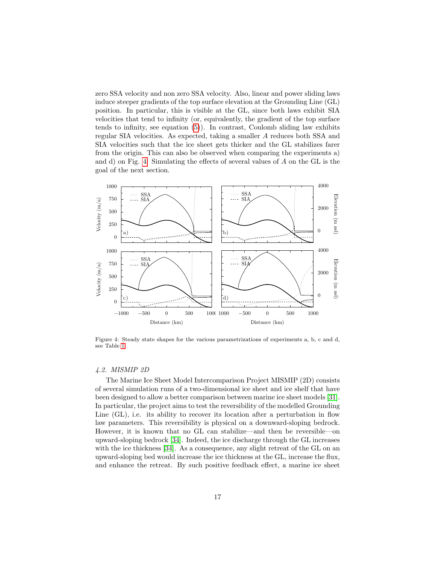zero SSA velocity and non zero SSA velocity. Also, linear and power sliding laws induce steeper gradients of the top surface elevation at the Grounding Line (GL) position. In particular, this is visible at the GL, since both laws exhibit SIA velocities that tend to infinity (or, equivalently, the gradient of the top surface tends to infinity, see equation [\(5\)](#page-5-3)). In contrast, Coulomb sliding law exhibits regular SIA velocities. As expected, taking a smaller A reduces both SSA and SIA velocities such that the ice sheet gets thicker and the GL stabilizes farer from the origin. This can also be observed when comparing the experiments a) and d) on Fig. [4.](#page-17-0) Simulating the effects of several values of A on the GL is the goal of the next section.



<span id="page-17-0"></span>Figure 4: Steady state shapes for the various parametrizations of experiments a, b, c and d, see Table [1.](#page-16-0)

#### 4.2. MISMIP 2D

The Marine Ice Sheet Model Intercomparison Project MISMIP (2D) consists of several simulation runs of a two-dimensional ice sheet and ice shelf that have been designed to allow a better comparison between marine ice sheet models [\[31\]](#page-28-5). In particular, the project aims to test the reversibility of the modelled Grounding Line (GL), i.e. its ability to recover its location after a perturbation in flow law parameters. This reversibility is physical on a downward-sloping bedrock. However, it is known that no GL can stabilize—and then be reversible—on upward-sloping bedrock [\[34\]](#page-28-0). Indeed, the ice discharge through the GL increases with the ice thickness [\[34\]](#page-28-0). As a consequence, any slight retreat of the GL on an upward-sloping bed would increase the ice thickness at the GL, increase the flux, and enhance the retreat. By such positive feedback effect, a marine ice sheet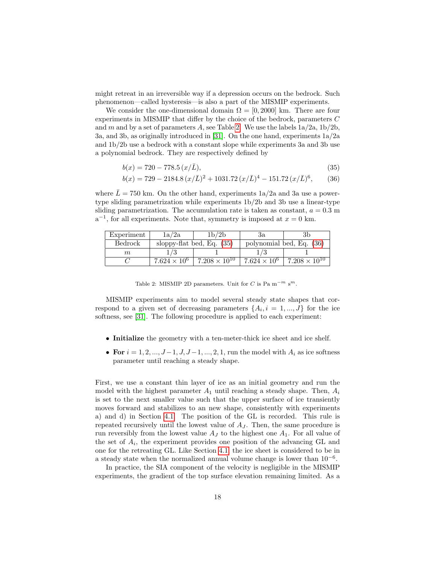might retreat in an irreversible way if a depression occurs on the bedrock. Such phenomenon—called hysteresis—is also a part of the MISMIP experiments.

We consider the one-dimensional domain  $\Omega = [0, 2000]$  km. There are four experiments in MISMIP that differ by the choice of the bedrock, parameters C and m and by a set of parameters A, see Table [2.](#page-18-0) We use the labels  $1a/2a$ ,  $1b/2b$ , 3a, and 3b, as originally introduced in [\[31\]](#page-28-5). On the one hand, experiments 1a/2a and 1b/2b use a bedrock with a constant slope while experiments 3a and 3b use a polynomial bedrock. They are respectively defined by

<span id="page-18-1"></span>
$$
b(x) = 720 - 778.5 (x/\bar{L}),
$$
\n(35)

<span id="page-18-2"></span>
$$
b(x) = 729 - 2184.8 (x/\bar{L})^2 + 1031.72 (x/\bar{L})^4 - 151.72 (x/\bar{L})^6, \qquad (36)
$$

where  $\bar{L} = 750$  km. On the other hand, experiments  $1a/2a$  and 3a use a powertype sliding parametrization while experiments 1b/2b and 3b use a linear-type sliding parametrization. The accumulation rate is taken as constant,  $a = 0.3$  m  $a^{-1}$ , for all experiments. Note that, symmetry is imposed at  $x = 0$  km.

| Experiment | 1a/2a                 | 1b/2b                       | Зa                       |                        |  |
|------------|-----------------------|-----------------------------|--------------------------|------------------------|--|
| Bedrock    |                       | sloppy-flat bed, Eq. $(35)$ | polynomial bed, Eq. (36) |                        |  |
| $m\,$      |                       |                             |                          |                        |  |
|            | $7.624 \times 10^{6}$ | $7.208 \times 10^{10}$      | $7.624 \times 10^{6}$    | $7.208 \times 10^{10}$ |  |

<span id="page-18-0"></span>Table 2: MISMIP 2D parameters. Unit for C is Pa m<sup>-m</sup> s<sup>m</sup>.

MISMIP experiments aim to model several steady state shapes that correspond to a given set of decreasing parameters  $\{A_i, i = 1, ..., J\}$  for the ice softness, see [\[31\]](#page-28-5). The following procedure is applied to each experiment:

- Initialize the geometry with a ten-meter-thick ice sheet and ice shelf.
- For  $i = 1, 2, ..., J-1, J, J-1, ..., 2, 1$ , run the model with  $A_i$  as ice softness parameter until reaching a steady shape.

First, we use a constant thin layer of ice as an initial geometry and run the model with the highest parameter  $A_1$  until reaching a steady shape. Then,  $A_i$ is set to the next smaller value such that the upper surface of ice transiently moves forward and stabilizes to an new shape, consistently with experiments a) and d) in Section [4.1.](#page-16-1) The position of the GL is recorded. This rule is repeated recursively until the lowest value of  $A<sub>J</sub>$ . Then, the same procedure is run reversibly from the lowest value  $A_J$  to the highest one  $A_1$ . For all value of the set of  $A_i$ , the experiment provides one position of the advancing GL and one for the retreating GL. Like Section [4.1,](#page-16-1) the ice sheet is considered to be in a steady state when the normalized annual volume change is lower than 10−<sup>6</sup> .

In practice, the SIA component of the velocity is negligible in the MISMIP experiments, the gradient of the top surface elevation remaining limited. As a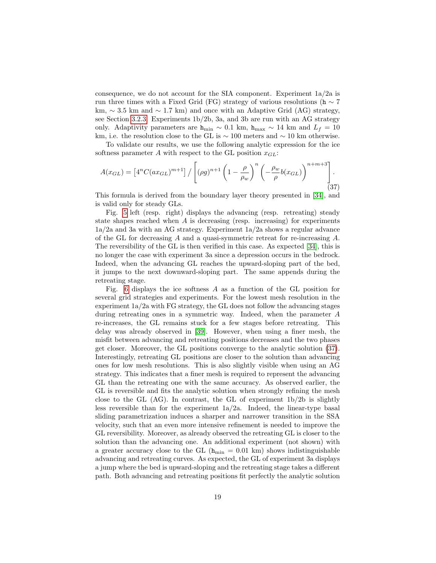consequence, we do not account for the SIA component. Experiment 1a/2a is run three times with a Fixed Grid (FG) strategy of various resolutions (h  $\sim$  7 km,  $\sim$  3.5 km and  $\sim$  1.7 km) and once with an Adaptive Grid (AG) strategy, see Section [3.2.3.](#page-14-0) Experiments 1b/2b, 3a, and 3b are run with an AG strategy only. Adaptivity parameters are  $h_{\min} \sim 0.1$  km,  $h_{\max} \sim 14$  km and  $L_f = 10$ km, i.e. the resolution close to the GL is  $\sim 100$  meters and  $\sim 10$  km otherwise.

To validate our results, we use the following analytic expression for the ice softness parameter A with respect to the GL position  $x_{GL}$ :

<span id="page-19-0"></span>
$$
A(x_{GL}) = \left[4^n C(ax_{GL})^{m+1}\right] / \left[ (\rho g)^{n+1} \left(1 - \frac{\rho}{\rho_w}\right)^n \left(-\frac{\rho_w}{\rho}b(x_{GL})\right)^{n+m+3}\right].
$$
\n(37)

This formula is derived from the boundary layer theory presented in [\[34\]](#page-28-0), and is valid only for steady GLs.

Fig. [5](#page-20-0) left (resp. right) displays the advancing (resp. retreating) steady state shapes reached when  $A$  is decreasing (resp. increasing) for experiments 1a/2a and 3a with an AG strategy. Experiment 1a/2a shows a regular advance of the GL for decreasing A and a quasi-symmetric retreat for re-increasing A. The reversibility of the GL is then verified in this case. As expected [\[34\]](#page-28-0), this is no longer the case with experiment 3a since a depression occurs in the bedrock. Indeed, when the advancing GL reaches the upward-sloping part of the bed, it jumps to the next downward-sloping part. The same appends during the retreating stage.

Fig. [6](#page-21-0) displays the ice softness A as a function of the GL position for several grid strategies and experiments. For the lowest mesh resolution in the experiment 1a/2a with FG strategy, the GL does not follow the advancing stages during retreating ones in a symmetric way. Indeed, when the parameter A re-increases, the GL remains stuck for a few stages before retreating. This delay was already observed in [\[39\]](#page-29-1). However, when using a finer mesh, the misfit between advancing and retreating positions decreases and the two phases get closer. Moreover, the GL positions converge to the analytic solution [\(37\)](#page-19-0). Interestingly, retreating GL positions are closer to the solution than advancing ones for low mesh resolutions. This is also slightly visible when using an AG strategy. This indicates that a finer mesh is required to represent the advancing GL than the retreating one with the same accuracy. As observed earlier, the GL is reversible and fits the analytic solution when strongly refining the mesh close to the GL  $(AG)$ . In contrast, the GL of experiment  $1b/2b$  is slightly less reversible than for the experiment 1a/2a. Indeed, the linear-type basal sliding parametrization induces a sharper and narrower transition in the SSA velocity, such that an even more intensive refinement is needed to improve the GL reversibility. Moreover, as already observed the retreating GL is closer to the solution than the advancing one. An additional experiment (not shown) with a greater accuracy close to the GL ( $h_{\text{min}} = 0.01$  km) shows indistinguishable advancing and retreating curves. As expected, the GL of experiment 3a displays a jump where the bed is upward-sloping and the retreating stage takes a different path. Both advancing and retreating positions fit perfectly the analytic solution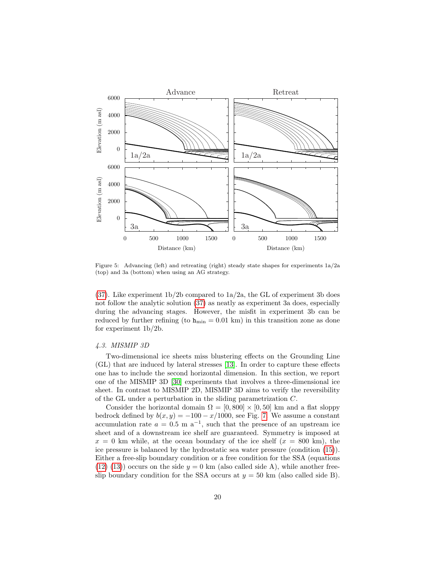

<span id="page-20-0"></span>Figure 5: Advancing (left) and retreating (right) steady state shapes for experiments 1a/2a (top) and 3a (bottom) when using an AG strategy.

[\(37\)](#page-19-0). Like experiment  $1b/2b$  compared to  $1a/2a$ , the GL of experiment 3b does not follow the analytic solution [\(37\)](#page-19-0) as neatly as experiment 3a does, especially during the advancing stages. However, the misfit in experiment 3b can be reduced by further refining (to  $h_{min} = 0.01$  km) in this transition zone as done for experiment 1b/2b.

#### 4.3. MISMIP 3D

Two-dimensional ice sheets miss blustering effects on the Grounding Line (GL) that are induced by lateral stresses [\[13\]](#page-27-2). In order to capture these effects one has to include the second horizontal dimension. In this section, we report one of the MISMIP 3D [\[30\]](#page-28-4) experiments that involves a three-dimensional ice sheet. In contrast to MISMIP 2D, MISMIP 3D aims to verify the reversibility of the GL under a perturbation in the sliding parametrization C.

Consider the horizontal domain  $\Omega = [0, 800] \times [0, 50]$  km and a flat sloppy bedrock defined by  $b(x, y) = -100 - x/1000$ , see Fig. [7.](#page-22-0) We assume a constant accumulation rate  $a = 0.5$  m a<sup>-1</sup>, such that the presence of an upstream ice sheet and of a downstream ice shelf are guaranteed. Symmetry is imposed at  $x = 0$  km while, at the ocean boundary of the ice shelf  $(x = 800 \text{ km})$ , the ice pressure is balanced by the hydrostatic sea water pressure (condition [\(15\)](#page-7-0)). Either a free-slip boundary condition or a free condition for the SSA (equations  $(12)$   $(13)$ ) occurs on the side  $y = 0$  km (also called side A), while another freeslip boundary condition for the SSA occurs at  $y = 50$  km (also called side B).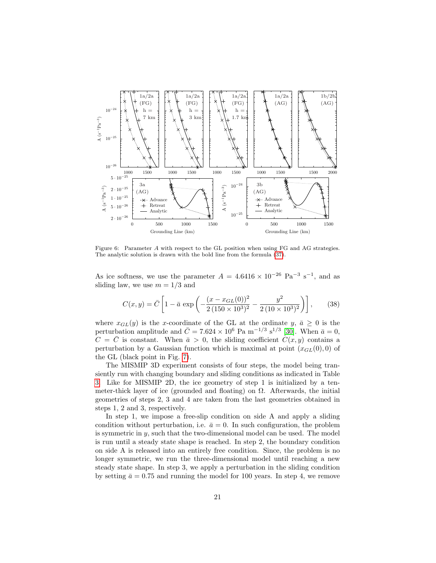

<span id="page-21-0"></span>Figure 6: Parameter A with respect to the GL position when using FG and AG strategies. The analytic solution is drawn with the bold line from the formula [\(37\)](#page-19-0).

As ice softness, we use the parameter  $A = 4.6416 \times 10^{-26}$  Pa<sup>-3</sup> s<sup>-1</sup>, and as sliding law, we use  $m = 1/3$  and

$$
C(x,y) = \bar{C} \left[ 1 - \bar{a} \exp \left( -\frac{(x - x_{GL}(0))^2}{2 \left( 150 \times 10^3 \right)^2} - \frac{y^2}{2 \left( 10 \times 10^3 \right)^2} \right) \right],\tag{38}
$$

where  $x_{GL}(y)$  is the x-coordinate of the GL at the ordinate y,  $\bar{a} \geq 0$  is the perturbation amplitude and  $\bar{C} = 7.624 \times 10^6$  Pa m<sup>-1/3</sup> s<sup>1/3</sup> [\[30\]](#page-28-4). When  $\bar{a} = 0$ ,  $C = \overline{C}$  is constant. When  $\overline{a} > 0$ , the sliding coefficient  $C(x, y)$  contains a perturbation by a Gaussian function which is maximal at point  $(x_{GL}(0), 0)$  of the GL (black point in Fig. [7\)](#page-22-0).

The MISMIP 3D experiment consists of four steps, the model being transiently run with changing boundary and sliding conditions as indicated in Table [3.](#page-22-1) Like for MISMIP 2D, the ice geometry of step 1 is initialized by a tenmeter-thick layer of ice (grounded and floating) on  $\Omega$ . Afterwards, the initial geometries of steps 2, 3 and 4 are taken from the last geometries obtained in steps 1, 2 and 3, respectively.

In step 1, we impose a free-slip condition on side A and apply a sliding condition without perturbation, i.e.  $\bar{a} = 0$ . In such configuration, the problem is symmetric in  $y$ , such that the two-dimensional model can be used. The model is run until a steady state shape is reached. In step 2, the boundary condition on side A is released into an entirely free condition. Since, the problem is no longer symmetric, we run the three-dimensional model until reaching a new steady state shape. In step 3, we apply a perturbation in the sliding condition by setting  $\bar{a} = 0.75$  and running the model for 100 years. In step 4, we remove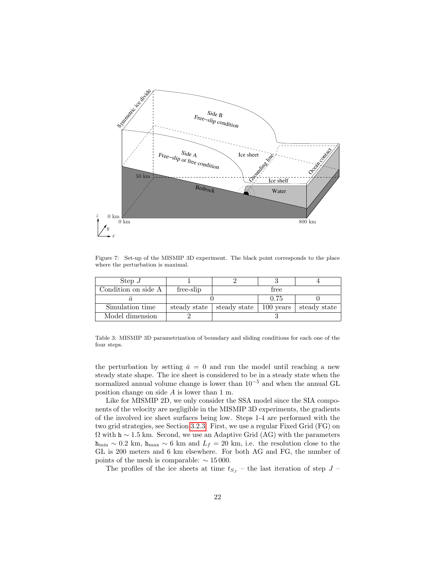![](_page_22_Figure_0.jpeg)

<span id="page-22-0"></span>Figure 7: Set-up of the MISMIP 3D experiment. The black point corresponds to the place where the perturbation is maximal.

| Step $J$            |              |              |             |              |  |  |
|---------------------|--------------|--------------|-------------|--------------|--|--|
| Condition on side A | free-slip    | free         |             |              |  |  |
|                     |              |              | 0.75        |              |  |  |
| Simulation time     | steady state | steady state | $100$ years | steady state |  |  |
| Model dimension     |              |              |             |              |  |  |

<span id="page-22-1"></span>Table 3: MISMIP 3D parametrization of boundary and sliding conditions for each one of the four steps.

the perturbation by setting  $\bar{a} = 0$  and run the model until reaching a new steady state shape. The ice sheet is considered to be in a steady state when the normalized annual volume change is lower than 10−<sup>5</sup> and when the annual GL position change on side A is lower than 1 m.

Like for MISMIP 2D, we only consider the SSA model since the SIA components of the velocity are negligible in the MISMIP 3D experiments, the gradients of the involved ice sheet surfaces being low. Steps 1-4 are performed with the two grid strategies, see Section [3.2.3.](#page-14-0) First, we use a regular Fixed Grid (FG) on  $\Omega$  with h ~ 1.5 km. Second, we use an Adaptive Grid (AG) with the parameters h<sub>min</sub> ~ 0.2 km, h<sub>max</sub> ~ 6 km and  $L_f = 20$  km, i.e. the resolution close to the GL is 200 meters and 6 km elsewhere. For both AG and FG, the number of points of the mesh is comparable:  $\sim 15000$ .

The profiles of the ice sheets at time  $t_{S_J}$  – the last iteration of step  $J$  –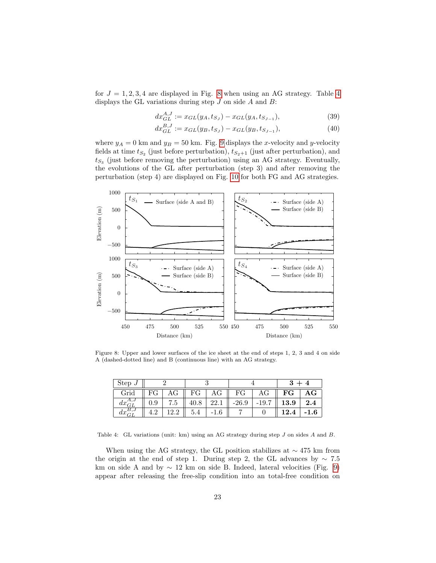for  $J = 1, 2, 3, 4$  $J = 1, 2, 3, 4$  are displayed in Fig. [8](#page-23-0) when using an AG strategy. Table 4 displays the GL variations during step  $J$  on side  $A$  and  $B$ :

$$
dx_{GL}^{A,J} := x_{GL}(y_A, t_{S_J}) - x_{GL}(y_A, t_{S_{J-1}}),
$$
\n(39)

$$
dx_{GL}^{B,J} := x_{GL}(y_B, t_{SJ}) - x_{GL}(y_B, t_{SJ-1}),
$$
\n(40)

where  $y_A = 0$  km and  $y_B = 50$  km. Fig. [9](#page-24-0) displays the x-velocity and y-velocity fields at time  $t_{S_2}$  (just before perturbation),  $t_{S_2+1}$  (just after perturbation), and  $t_{S_3}$  (just before removing the perturbation) using an AG strategy. Eventually, the evolutions of the GL after perturbation (step 3) and after removing the perturbation (step 4) are displayed on Fig. [10](#page-25-0) for both FG and AG strategies.

![](_page_23_Figure_4.jpeg)

<span id="page-23-0"></span>Figure 8: Upper and lower surfaces of the ice sheet at the end of steps 1, 2, 3 and 4 on side A (dashed-dotted line) and B (continuous line) with an AG strategy.

| Step $J$ |         |     |      |      |         |         |             |                        |
|----------|---------|-----|------|------|---------|---------|-------------|------------------------|
| Grid     | FG      |     | FG   | AG   | FG      | AG      | $_{\rm FG}$ | $\mathbf{A}\mathbf{G}$ |
| dx<br>GL | $0.9\,$ | 7.5 | 40.8 | 22.1 | $-26.9$ | $-19.7$ | 13.9        | $2.4\,$                |
| ax       |         |     |      | 1.0  |         |         | 12.4        | $-1.6$                 |

<span id="page-23-1"></span>Table 4: GL variations (unit: km) using an AG strategy during step J on sides A and B.

When using the AG strategy, the GL position stabilizes at  $\sim$  475 km from the origin at the end of step 1. During step 2, the GL advances by  $\sim 7.5$ km on side A and by  $\sim 12$  km on side B. Indeed, lateral velocities (Fig. [9\)](#page-24-0) appear after releasing the free-slip condition into an total-free condition on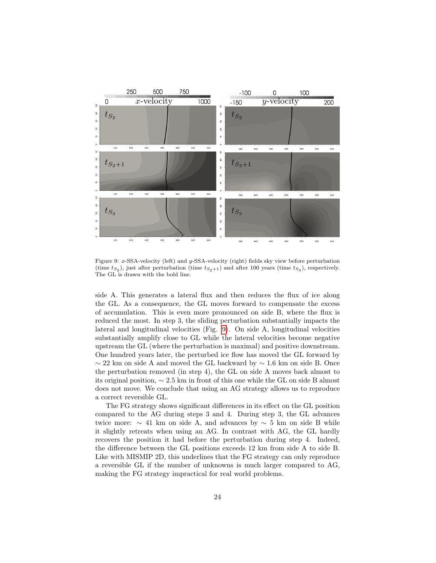![](_page_24_Figure_0.jpeg)

<span id="page-24-0"></span>Figure 9: x-SSA-velocity (left) and y-SSA-velocity (right) fields sky view before perturbation (time  $t_{S_2}$ ), just after perturbation (time  $t_{S_2+1}$ ) and after 100 years (time  $t_{S_3}$ ), respectively. The GL is drawn with the bold line.

side A. This generates a lateral flux and then reduces the flux of ice along the GL. As a consequence, the GL moves forward to compensate the excess of accumulation. This is even more pronounced on side B, where the flux is reduced the most. In step 3, the sliding perturbation substantially impacts the lateral and longitudinal velocities (Fig. [9\)](#page-24-0). On side A, longitudinal velocities substantially amplify close to GL while the lateral velocities become negative upstream the GL (where the perturbation is maximal) and positive downstream. One hundred years later, the perturbed ice flow has moved the GL forward by  $\sim22$  km on side A and moved the GL backward by  $\sim1.6$  km on side B. Once the perturbation removed (in step 4), the GL on side A moves back almost to its original position, ∼ 2.5 km in front of this one while the GL on side B almost does not move. We conclude that using an AG strategy allows us to reproduce a correct reversible GL.

The FG strategy shows significant differences in its effect on the GL position compared to the AG during steps 3 and 4. During step 3, the GL advances twice more:  $\sim$  41 km on side A, and advances by  $\sim$  5 km on side B while it slightly retreats when using an AG. In contrast with AG, the GL hardly recovers the position it had before the perturbation during step 4. Indeed, the difference between the GL positions exceeds 12 km from side A to side B. Like with MISMIP 2D, this underlines that the FG strategy can only reproduce a reversible GL if the number of unknowns is much larger compared to AG, making the FG strategy impractical for real world problems.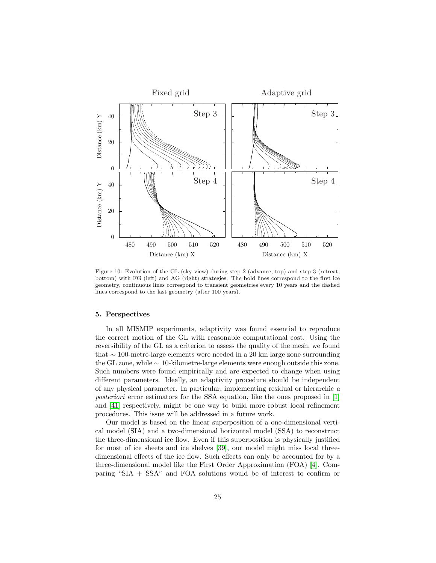![](_page_25_Figure_0.jpeg)

<span id="page-25-0"></span>Figure 10: Evolution of the GL (sky view) during step 2 (advance, top) and step 3 (retreat, bottom) with FG (left) and AG (right) strategies. The bold lines correspond to the first ice geometry, continuous lines correspond to transient geometries every 10 years and the dashed lines correspond to the last geometry (after 100 years).

#### 5. Perspectives

In all MISMIP experiments, adaptivity was found essential to reproduce the correct motion of the GL with reasonable computational cost. Using the reversibility of the GL as a criterion to assess the quality of the mesh, we found that ∼ 100-metre-large elements were needed in a 20 km large zone surrounding the GL zone, while ∼ 10-kilometre-large elements were enough outside this zone. Such numbers were found empirically and are expected to change when using different parameters. Ideally, an adaptivity procedure should be independent of any physical parameter. In particular, implementing residual or hierarchic a posteriori error estimators for the SSA equation, like the ones proposed in [\[1\]](#page-26-7) and [\[41\]](#page-29-4) respectively, might be one way to build more robust local refinement procedures. This issue will be addressed in a future work.

Our model is based on the linear superposition of a one-dimensional vertical model (SIA) and a two-dimensional horizontal model (SSA) to reconstruct the three-dimensional ice flow. Even if this superposition is physically justified for most of ice sheets and ice shelves [\[39\]](#page-29-1), our model might miss local threedimensional effects of the ice flow. Such effects can only be accounted for by a three-dimensional model like the First Order Approximation (FOA) [\[4\]](#page-26-4). Comparing "SIA + SSA" and FOA solutions would be of interest to confirm or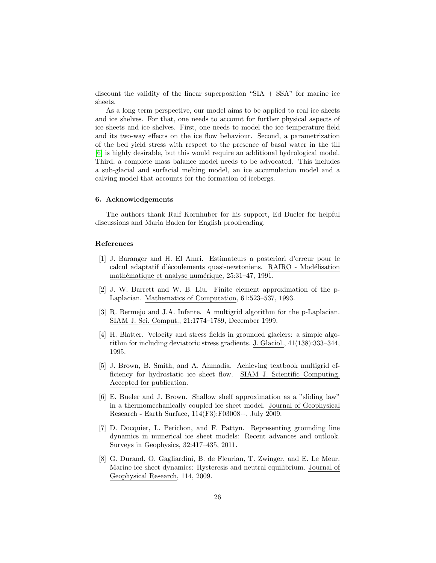discount the validity of the linear superposition "SIA + SSA" for marine ice sheets.

As a long term perspective, our model aims to be applied to real ice sheets and ice shelves. For that, one needs to account for further physical aspects of ice sheets and ice shelves. First, one needs to model the ice temperature field and its two-way effects on the ice flow behaviour. Second, a parametrization of the bed yield stress with respect to the presence of basal water in the till [\[6\]](#page-26-0) is highly desirable, but this would require an additional hydrological model. Third, a complete mass balance model needs to be advocated. This includes a sub-glacial and surfacial melting model, an ice accumulation model and a calving model that accounts for the formation of icebergs.

#### 6. Acknowledgements

The authors thank Ralf Kornhuber for his support, Ed Bueler for helpful discussions and Maria Baden for English proofreading.

#### References

- <span id="page-26-7"></span>[1] J. Baranger and H. El Amri. Estimateurs a posteriori d'erreur pour le calcul adaptatif d'écoulements quasi-newtoniens. RAIRO - Modélisation mathématique et analyse numérique, 25:31–47, 1991.
- <span id="page-26-5"></span>[2] J. W. Barrett and W. B. Liu. Finite element approximation of the p-Laplacian. Mathematics of Computation, 61:523–537, 1993.
- <span id="page-26-6"></span>[3] R. Bermejo and J.A. Infante. A multigrid algorithm for the p-Laplacian. SIAM J. Sci. Comput., 21:1774–1789, December 1999.
- <span id="page-26-4"></span>[4] H. Blatter. Velocity and stress fields in grounded glaciers: a simple algorithm for including deviatoric stress gradients. J. Glaciol., 41(138):333–344, 1995.
- <span id="page-26-3"></span>[5] J. Brown, B. Smith, and A. Ahmadia. Achieving textbook multigrid efficiency for hydrostatic ice sheet flow. SIAM J. Scientific Computing. Accepted for publication.
- <span id="page-26-0"></span>[6] E. Bueler and J. Brown. Shallow shelf approximation as a "sliding law" in a thermomechanically coupled ice sheet model. Journal of Geophysical Research - Earth Surface, 114(F3):F03008+, July 2009.
- <span id="page-26-1"></span>[7] D. Docquier, L. Perichon, and F. Pattyn. Representing grounding line dynamics in numerical ice sheet models: Recent advances and outlook. Surveys in Geophysics, 32:417–435, 2011.
- <span id="page-26-2"></span>[8] G. Durand, O. Gagliardini, B. de Fleurian, T. Zwinger, and E. Le Meur. Marine ice sheet dynamics: Hysteresis and neutral equilibrium. Journal of Geophysical Research, 114, 2009.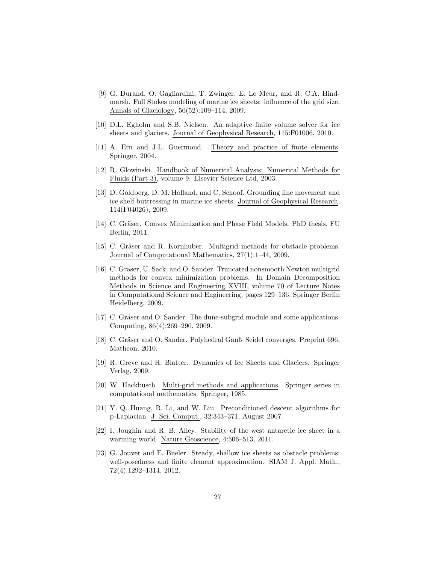- <span id="page-27-3"></span>[9] G. Durand, O. Gagliardini, T. Zwinger, E. Le Meur, and R. C.A. Hindmarsh. Full Stokes modeling of marine ice sheets: influence of the grid size. Annals of Glaciology, 50(52):109–114, 2009.
- <span id="page-27-10"></span>[10] D.L. Egholm and S.B. Nielsen. An adaptive finite volume solver for ice sheets and glaciers. Journal of Geophysical Research, 115:F01006, 2010.
- <span id="page-27-11"></span>[11] A. Ern and J.L. Guermond. Theory and practice of finite elements. Springer, 2004.
- <span id="page-27-7"></span>[12] R. Glowinski. Handbook of Numerical Analysis: Numerical Methods for Fluids (Part 3), volume 9. Elsevier Science Ltd, 2003.
- <span id="page-27-2"></span>[13] D. Goldberg, D. M. Holland, and C. Schoof. Grounding line movement and ice shelf buttressing in marine ice sheets. Journal of Geophysical Research, 114(F04026), 2009.
- <span id="page-27-9"></span>[14] C. Gräser. Convex Minimization and Phase Field Models. PhD thesis, FU Berlin, 2011.
- <span id="page-27-4"></span>[15] C. Gräser and R. Kornhuber. Multigrid methods for obstacle problems. Journal of Computational Mathematics, 27(1):1–44, 2009.
- <span id="page-27-5"></span>[16] C. Gräser, U. Sack, and O. Sander. Truncated nonsmooth Newton multigrid methods for convex minimization problems. In Domain Decomposition Methods in Science and Engineering XVIII, volume 70 of Lecture Notes in Computational Science and Engineering, pages 129–136. Springer Berlin Heidelberg, 2009.
- <span id="page-27-14"></span>[17] C. Gräser and O. Sander. The dune-subgrid module and some applications. Computing, 86(4):269–290, 2009.
- <span id="page-27-13"></span>[18] C. Gräser and O. Sander. Polyhedral Gauß–Seidel converges. Preprint 696, Matheon, 2010.
- <span id="page-27-1"></span>[19] R. Greve and H. Blatter. Dynamics of Ice Sheets and Glaciers. Springer Verlag, 2009.
- <span id="page-27-12"></span>[20] W. Hackbusch. Multi-grid methods and applications. Springer series in computational mathematics. Springer, 1985.
- <span id="page-27-8"></span>[21] Y. Q. Huang, R. Li, and W. Liu. Preconditioned descent algorithms for p-Laplacian. J. Sci. Comput., 32:343–371, August 2007.
- <span id="page-27-0"></span>[22] I. Joughin and R. B. Alley. Stability of the west antarctic ice sheet in a warming world. Nature Geoscience, 4:506–513, 2011.
- <span id="page-27-6"></span>[23] G. Jouvet and E. Bueler. Steady, shallow ice sheets as obstacle problems: well-posedness and finite element approximation. SIAM J. Appl. Math., 72(4):1292–1314, 2012.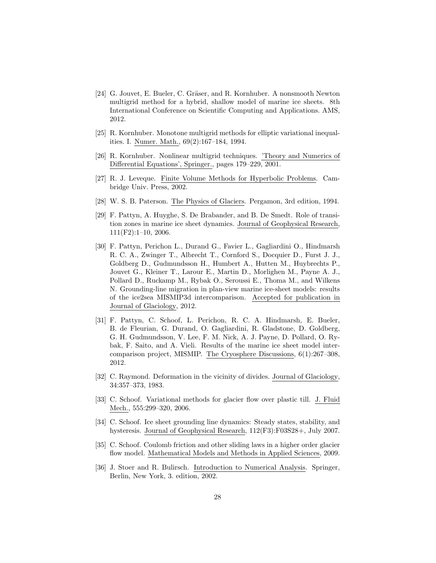- <span id="page-28-3"></span>[24] G. Jouvet, E. Bueler, C. Gräser, and R. Kornhuber. A nonsmooth Newton multigrid method for a hybrid, shallow model of marine ice sheets. 8th International Conference on Scientific Computing and Applications. AMS, 2012.
- <span id="page-28-9"></span>[25] R. Kornhuber. Monotone multigrid methods for elliptic variational inequalities. I. Numer. Math., 69(2):167–184, 1994.
- <span id="page-28-8"></span>[26] R. Kornhuber. Nonlinear multigrid techniques. 'Theory and Numerics of Differential Equations', Springer., pages 179–229, 2001.
- <span id="page-28-11"></span>[27] R. J. Leveque. Finite Volume Methods for Hyperbolic Problems. Cambridge Univ. Press, 2002.
- <span id="page-28-6"></span>[28] W. S. B. Paterson. The Physics of Glaciers. Pergamon, 3rd edition, 1994.
- <span id="page-28-2"></span>[29] F. Pattyn, A. Huyghe, S. De Brabander, and B. De Smedt. Role of transition zones in marine ice sheet dynamics. Journal of Geophysical Research, 111(F2):1–10, 2006.
- <span id="page-28-4"></span>[30] F. Pattyn, Perichon L., Durand G., Favier L., Gagliardini O., Hindmarsh R. C. A., Zwinger T., Albrecht T., Cornford S., Docquier D., Furst J. J., Goldberg D., Gudmundsson H., Humbert A., Hutten M., Huybrechts P., Jouvet G., Kleiner T., Larour E., Martin D., Morlighen M., Payne A. J., Pollard D., Ruckamp M., Rybak O., Seroussi E., Thoma M., and Wilkens N. Grounding-line migration in plan-view marine ice-sheet models: results of the ice2sea MISMIP3d intercomparison. Accepted for publication in Journal of Glaciology, 2012.
- <span id="page-28-5"></span>[31] F. Pattyn, C. Schoof, L. Perichon, R. C. A. Hindmarsh, E. Bueler, B. de Fleurian, G. Durand, O. Gagliardini, R. Gladstone, D. Goldberg, G. H. Gudmundsson, V. Lee, F. M. Nick, A. J. Payne, D. Pollard, O. Rybak, F. Saito, and A. Vieli. Results of the marine ice sheet model intercomparison project, MISMIP. The Cryosphere Discussions, 6(1):267–308, 2012.
- <span id="page-28-12"></span>[32] C. Raymond. Deformation in the vicinity of divides. Journal of Glaciology, 34:357–373, 1983.
- <span id="page-28-1"></span>[33] C. Schoof. Variational methods for glacier flow over plastic till. J. Fluid Mech., 555:299–320, 2006.
- <span id="page-28-0"></span>[34] C. Schoof. Ice sheet grounding line dynamics: Steady states, stability, and hysteresis. Journal of Geophysical Research, 112(F3):F03S28+, July 2007.
- <span id="page-28-7"></span>[35] C. Schoof. Coulomb friction and other sliding laws in a higher order glacier flow model. Mathematical Models and Methods in Applied Sciences, 2009.
- <span id="page-28-10"></span>[36] J. Stoer and R. Bulirsch. Introduction to Numerical Analysis. Springer, Berlin, New York, 3. edition, 2002.